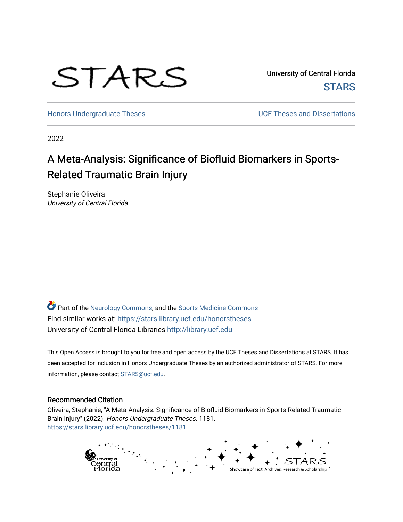

University of Central Florida **STARS** 

[Honors Undergraduate Theses](https://stars.library.ucf.edu/honorstheses) **Exercise 2018** UCF Theses and Dissertations

2022

# A Meta-Analysis: Significance of Biofluid Biomarkers in Sports-Related Traumatic Brain Injury

Stephanie Oliveira University of Central Florida

Part of the [Neurology Commons](https://network.bepress.com/hgg/discipline/692?utm_source=stars.library.ucf.edu%2Fhonorstheses%2F1181&utm_medium=PDF&utm_campaign=PDFCoverPages), and the [Sports Medicine Commons](https://network.bepress.com/hgg/discipline/1331?utm_source=stars.library.ucf.edu%2Fhonorstheses%2F1181&utm_medium=PDF&utm_campaign=PDFCoverPages) Find similar works at: <https://stars.library.ucf.edu/honorstheses> University of Central Florida Libraries [http://library.ucf.edu](http://library.ucf.edu/) 

This Open Access is brought to you for free and open access by the UCF Theses and Dissertations at STARS. It has been accepted for inclusion in Honors Undergraduate Theses by an authorized administrator of STARS. For more information, please contact [STARS@ucf.edu.](mailto:STARS@ucf.edu)

### Recommended Citation

Oliveira, Stephanie, "A Meta-Analysis: Significance of Biofluid Biomarkers in Sports-Related Traumatic Brain Injury" (2022). Honors Undergraduate Theses. 1181. [https://stars.library.ucf.edu/honorstheses/1181](https://stars.library.ucf.edu/honorstheses/1181?utm_source=stars.library.ucf.edu%2Fhonorstheses%2F1181&utm_medium=PDF&utm_campaign=PDFCoverPages)

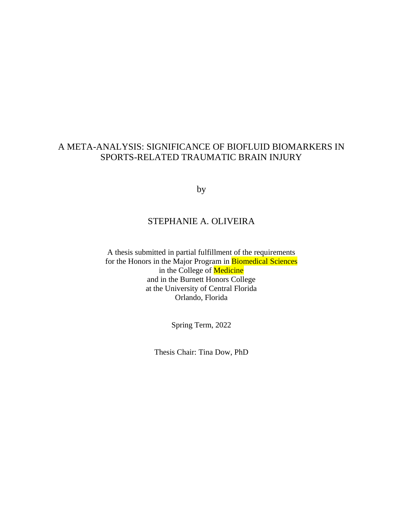# A META-ANALYSIS: SIGNIFICANCE OF BIOFLUID BIOMARKERS IN SPORTS-RELATED TRAUMATIC BRAIN INJURY

by

# STEPHANIE A. OLIVEIRA

A thesis submitted in partial fulfillment of the requirements for the Honors in the Major Program in Biomedical Sciences in the College of Medicine and in the Burnett Honors College at the University of Central Florida Orlando, Florida

Spring Term, 2022

Thesis Chair: Tina Dow, PhD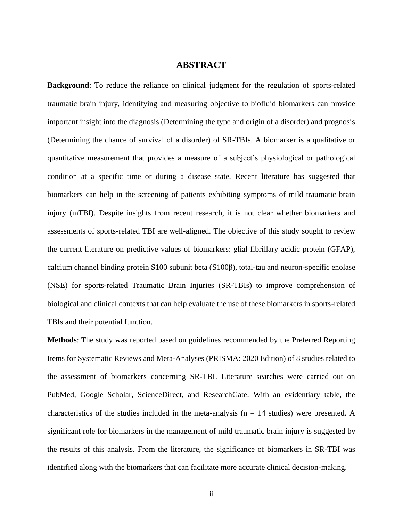# **ABSTRACT**

**Background**: To reduce the reliance on clinical judgment for the regulation of sports-related traumatic brain injury, identifying and measuring objective to biofluid biomarkers can provide important insight into the diagnosis (Determining the type and origin of a disorder) and prognosis (Determining the chance of survival of a disorder) of SR-TBIs. A biomarker is a qualitative or quantitative measurement that provides a measure of a subject's physiological or pathological condition at a specific time or during a disease state. Recent literature has suggested that biomarkers can help in the screening of patients exhibiting symptoms of mild traumatic brain injury (mTBI). Despite insights from recent research, it is not clear whether biomarkers and assessments of sports-related TBI are well-aligned. The objective of this study sought to review the current literature on predictive values of biomarkers: glial fibrillary acidic protein (GFAP), calcium channel binding protein S100 subunit beta (S100β), total-tau and neuron-specific enolase (NSE) for sports-related Traumatic Brain Injuries (SR-TBIs) to improve comprehension of biological and clinical contexts that can help evaluate the use of these biomarkers in sports-related TBIs and their potential function.

**Methods**: The study was reported based on guidelines recommended by the Preferred Reporting Items for Systematic Reviews and Meta-Analyses (PRISMA: 2020 Edition) of 8 studies related to the assessment of biomarkers concerning SR-TBI. Literature searches were carried out on PubMed, Google Scholar, ScienceDirect, and ResearchGate. With an evidentiary table, the characteristics of the studies included in the meta-analysis ( $n = 14$  studies) were presented. A significant role for biomarkers in the management of mild traumatic brain injury is suggested by the results of this analysis. From the literature, the significance of biomarkers in SR-TBI was identified along with the biomarkers that can facilitate more accurate clinical decision-making.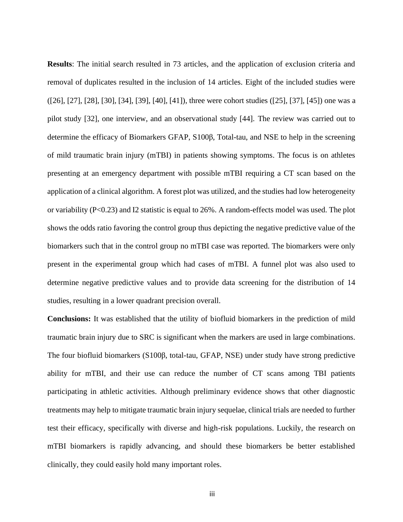**Results**: The initial search resulted in 73 articles, and the application of exclusion criteria and removal of duplicates resulted in the inclusion of 14 articles. Eight of the included studies were ([26], [27], [28], [30], [34], [39], [40], [41]), three were cohort studies ([25], [37], [45]) one was a pilot study [32], one interview, and an observational study [44]. The review was carried out to determine the efficacy of Biomarkers GFAP, S100β, Total-tau, and NSE to help in the screening of mild traumatic brain injury (mTBI) in patients showing symptoms. The focus is on athletes presenting at an emergency department with possible mTBI requiring a CT scan based on the application of a clinical algorithm. A forest plot was utilized, and the studies had low heterogeneity or variability (P<0.23) and I2 statistic is equal to 26%. A random-effects model was used. The plot shows the odds ratio favoring the control group thus depicting the negative predictive value of the biomarkers such that in the control group no mTBI case was reported. The biomarkers were only present in the experimental group which had cases of mTBI. A funnel plot was also used to determine negative predictive values and to provide data screening for the distribution of 14 studies, resulting in a lower quadrant precision overall.

**Conclusions:** It was established that the utility of biofluid biomarkers in the prediction of mild traumatic brain injury due to SRC is significant when the markers are used in large combinations. The four biofluid biomarkers (S100β, total-tau, GFAP, NSE) under study have strong predictive ability for mTBI, and their use can reduce the number of CT scans among TBI patients participating in athletic activities. Although preliminary evidence shows that other diagnostic treatments may help to mitigate traumatic brain injury sequelae, clinical trials are needed to further test their efficacy, specifically with diverse and high-risk populations. Luckily, the research on mTBI biomarkers is rapidly advancing, and should these biomarkers be better established clinically, they could easily hold many important roles.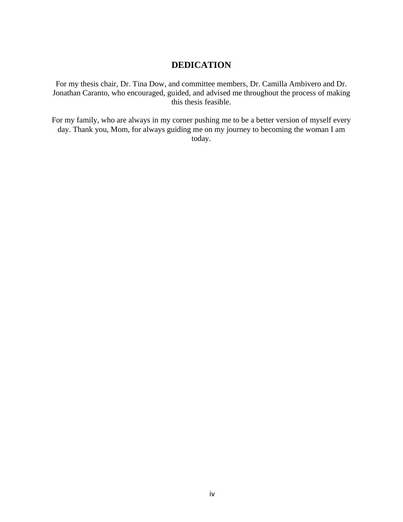# **DEDICATION**

For my thesis chair, Dr. Tina Dow, and committee members, Dr. Camilla Ambivero and Dr. Jonathan Caranto, who encouraged, guided, and advised me throughout the process of making this thesis feasible.

For my family, who are always in my corner pushing me to be a better version of myself every day. Thank you, Mom, for always guiding me on my journey to becoming the woman I am today.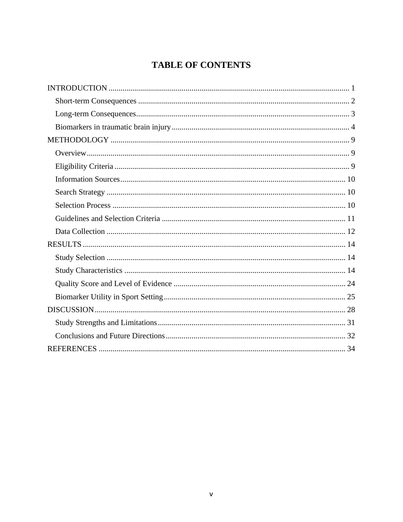# **TABLE OF CONTENTS**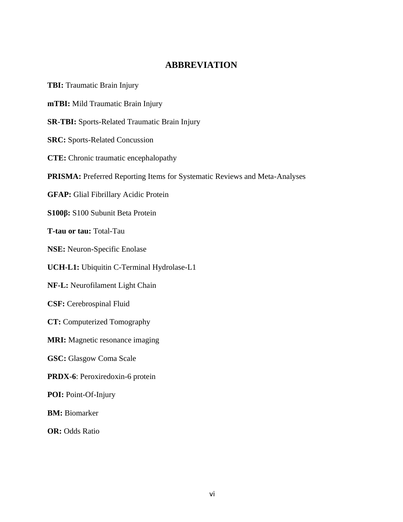# **ABBREVIATION**

**TBI:** Traumatic Brain Injury **mTBI:** Mild Traumatic Brain Injury **SR-TBI:** Sports-Related Traumatic Brain Injury **SRC:** Sports-Related Concussion **CTE:** Chronic traumatic encephalopathy **PRISMA:** Preferred Reporting Items for Systematic Reviews and Meta-Analyses **GFAP:** Glial Fibrillary Acidic Protein **S100β:** S100 Subunit Beta Protein **T-tau or tau:** Total-Tau **NSE:** Neuron-Specific Enolase **UCH-L1:** Ubiquitin C-Terminal Hydrolase-L1 **NF-L:** Neurofilament Light Chain **CSF:** Cerebrospinal Fluid **CT:** Computerized Tomography **MRI:** Magnetic resonance imaging **GSC:** Glasgow Coma Scale **PRDX-6**: Peroxiredoxin-6 protein **POI:** Point-Of-Injury **BM:** Biomarker **OR:** Odds Ratio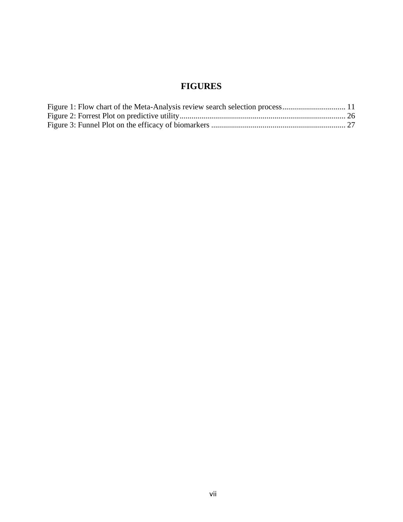# **FIGURES**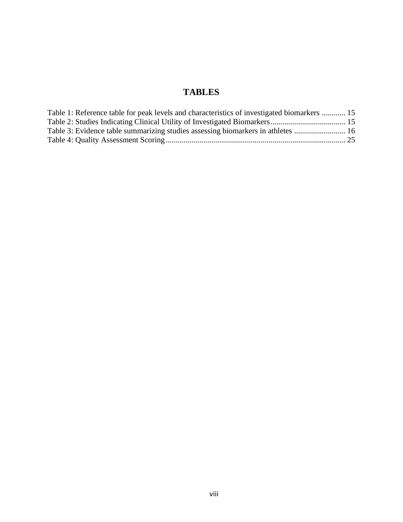# **TABLES**

| Table 1: Reference table for peak levels and characteristics of investigated biomarkers  15 |  |
|---------------------------------------------------------------------------------------------|--|
|                                                                                             |  |
| Table 3: Evidence table summarizing studies assessing biomarkers in athletes  16            |  |
|                                                                                             |  |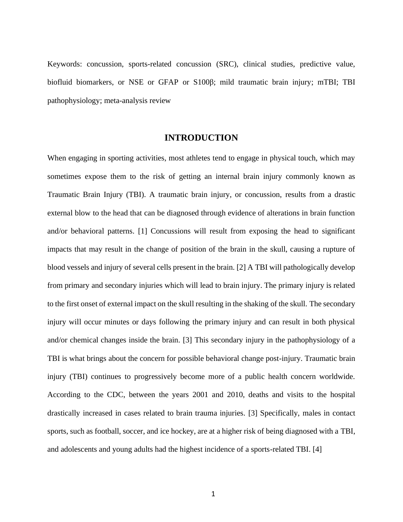Keywords: concussion, sports-related concussion (SRC), clinical studies, predictive value, biofluid biomarkers, or NSE or GFAP or S100β; mild traumatic brain injury; mTBI; TBI pathophysiology; meta-analysis review

#### **INTRODUCTION**

<span id="page-9-0"></span>When engaging in sporting activities, most athletes tend to engage in physical touch, which may sometimes expose them to the risk of getting an internal brain injury commonly known as Traumatic Brain Injury (TBI). A traumatic brain injury, or concussion, results from a drastic external blow to the head that can be diagnosed through evidence of alterations in brain function and/or behavioral patterns. [1] Concussions will result from exposing the head to significant impacts that may result in the change of position of the brain in the skull, causing a rupture of blood vessels and injury of several cells present in the brain. [2] A TBI will pathologically develop from primary and secondary injuries which will lead to brain injury. The primary injury is related to the first onset of external impact on the skull resulting in the shaking of the skull. The secondary injury will occur minutes or days following the primary injury and can result in both physical and/or chemical changes inside the brain. [3] This secondary injury in the pathophysiology of a TBI is what brings about the concern for possible behavioral change post-injury. Traumatic brain injury (TBI) continues to progressively become more of a public health concern worldwide. According to the CDC, between the years 2001 and 2010, deaths and visits to the hospital drastically increased in cases related to brain trauma injuries. [3] Specifically, males in contact sports, such as football, soccer, and ice hockey, are at a higher risk of being diagnosed with a TBI, and adolescents and young adults had the highest incidence of a sports-related TBI. [4]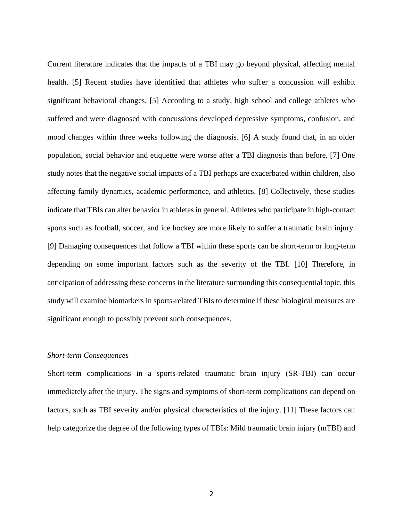Current literature indicates that the impacts of a TBI may go beyond physical, affecting mental health. [5] Recent studies have identified that athletes who suffer a concussion will exhibit significant behavioral changes. [5] According to a study, high school and college athletes who suffered and were diagnosed with concussions developed depressive symptoms, confusion, and mood changes within three weeks following the diagnosis. [6] A study found that, in an older population, social behavior and etiquette were worse after a TBI diagnosis than before. [7] One study notes that the negative social impacts of a TBI perhaps are exacerbated within children, also affecting family dynamics, academic performance, and athletics. [8] Collectively, these studies indicate that TBIs can alter behavior in athletes in general. Athletes who participate in high-contact sports such as football, soccer, and ice hockey are more likely to suffer a traumatic brain injury. [9] Damaging consequences that follow a TBI within these sports can be short-term or long-term depending on some important factors such as the severity of the TBI. [10] Therefore, in anticipation of addressing these concerns in the literature surrounding this consequential topic, this study will examine biomarkers in sports-related TBIs to determine if these biological measures are significant enough to possibly prevent such consequences.

### <span id="page-10-0"></span>*Short-term Consequences*

Short-term complications in a sports-related traumatic brain injury (SR-TBI) can occur immediately after the injury. The signs and symptoms of short-term complications can depend on factors, such as TBI severity and/or physical characteristics of the injury. [11] These factors can help categorize the degree of the following types of TBIs: Mild traumatic brain injury (mTBI) and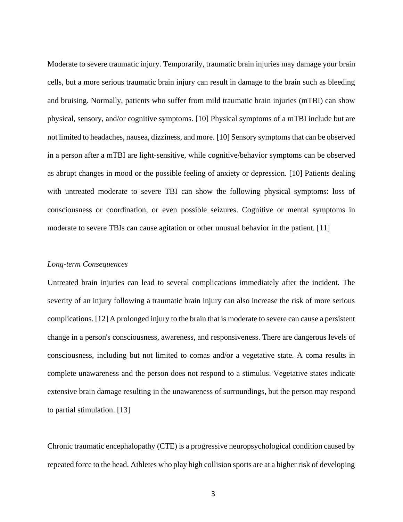Moderate to severe traumatic injury. Temporarily, traumatic brain injuries may damage your brain cells, but a more serious traumatic brain injury can result in damage to the brain such as bleeding and bruising. Normally, patients who suffer from mild traumatic brain injuries (mTBI) can show physical, sensory, and/or cognitive symptoms. [10] Physical symptoms of a mTBI include but are not limited to headaches, nausea, dizziness, and more. [10] Sensory symptoms that can be observed in a person after a mTBI are light-sensitive, while cognitive/behavior symptoms can be observed as abrupt changes in mood or the possible feeling of anxiety or depression. [10] Patients dealing with untreated moderate to severe TBI can show the following physical symptoms: loss of consciousness or coordination, or even possible seizures. Cognitive or mental symptoms in moderate to severe TBIs can cause agitation or other unusual behavior in the patient. [11]

### <span id="page-11-0"></span>*Long-term Consequences*

Untreated brain injuries can lead to several complications immediately after the incident. The severity of an injury following a traumatic brain injury can also increase the risk of more serious complications. [12] A prolonged injury to the brain that is moderate to severe can cause a persistent change in a person's consciousness, awareness, and responsiveness. There are dangerous levels of consciousness, including but not limited to comas and/or a vegetative state. A coma results in complete unawareness and the person does not respond to a stimulus. Vegetative states indicate extensive brain damage resulting in the unawareness of surroundings, but the person may respond to partial stimulation. [13]

Chronic traumatic encephalopathy (CTE) is a progressive neuropsychological condition caused by repeated force to the head. Athletes who play high collision sports are at a higher risk of developing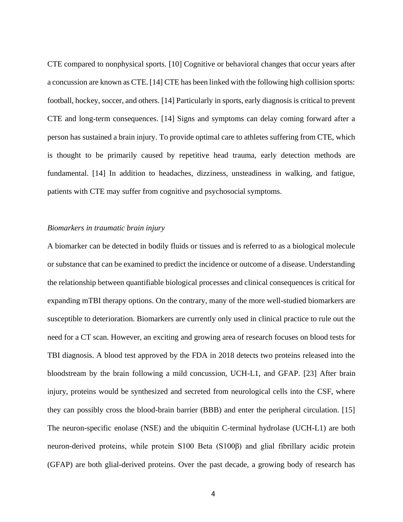CTE compared to nonphysical sports. [10] Cognitive or behavioral changes that occur years after a concussion are known as CTE. [14] CTE has been linked with the following high collision sports: football, hockey, soccer, and others. [14] Particularly in sports, early diagnosis is critical to prevent CTE and long-term consequences. [14] Signs and symptoms can delay coming forward after a person has sustained a brain injury. To provide optimal care to athletes suffering from CTE, which is thought to be primarily caused by repetitive head trauma, early detection methods are fundamental. [14] In addition to headaches, dizziness, unsteadiness in walking, and fatigue, patients with CTE may suffer from cognitive and psychosocial symptoms.

## <span id="page-12-0"></span>*Biomarkers in traumatic brain injury*

A biomarker can be detected in bodily fluids or tissues and is referred to as a biological molecule or substance that can be examined to predict the incidence or outcome of a disease. Understanding the relationship between quantifiable biological processes and clinical consequences is critical for expanding mTBI therapy options. On the contrary, many of the more well-studied biomarkers are susceptible to deterioration. Biomarkers are currently only used in clinical practice to rule out the need for a CT scan. However, an exciting and growing area of research focuses on blood tests for TBI diagnosis. A blood test approved by the FDA in 2018 detects two proteins released into the bloodstream by the brain following a mild concussion, UCH-L1, and GFAP. [23] After brain injury, proteins would be synthesized and secreted from neurological cells into the CSF, where they can possibly cross the blood-brain barrier (BBB) and enter the peripheral circulation. [15] The neuron-specific enolase (NSE) and the ubiquitin C-terminal hydrolase (UCH-L1) are both neuron-derived proteins, while protein S100 Beta (S100β) and glial fibrillary acidic protein (GFAP) are both glial-derived proteins. Over the past decade, a growing body of research has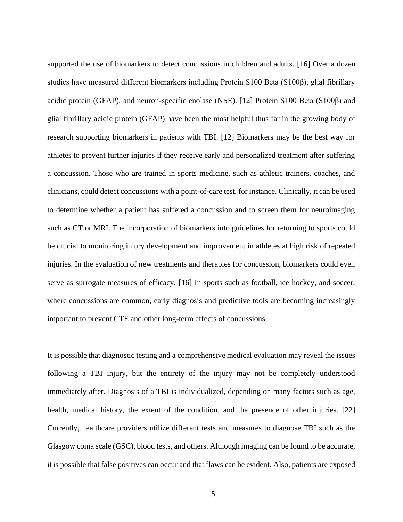supported the use of biomarkers to detect concussions in children and adults. [16] Over a dozen studies have measured different biomarkers including Protein S100 Beta (S100β), glial fibrillary acidic protein (GFAP), and neuron-specific enolase (NSE). [12] Protein S100 Beta (S100β) and glial fibrillary acidic protein (GFAP) have been the most helpful thus far in the growing body of research supporting biomarkers in patients with TBI. [12] Biomarkers may be the best way for athletes to prevent further injuries if they receive early and personalized treatment after suffering a concussion. Those who are trained in sports medicine, such as athletic trainers, coaches, and clinicians, could detect concussions with a point-of-care test, for instance. Clinically, it can be used to determine whether a patient has suffered a concussion and to screen them for neuroimaging such as CT or MRI. The incorporation of biomarkers into guidelines for returning to sports could be crucial to monitoring injury development and improvement in athletes at high risk of repeated injuries. In the evaluation of new treatments and therapies for concussion, biomarkers could even serve as surrogate measures of efficacy. [16] In sports such as football, ice hockey, and soccer, where concussions are common, early diagnosis and predictive tools are becoming increasingly important to prevent CTE and other long-term effects of concussions.

It is possible that diagnostic testing and a comprehensive medical evaluation may reveal the issues following a TBI injury, but the entirety of the injury may not be completely understood immediately after. Diagnosis of a TBI is individualized, depending on many factors such as age, health, medical history, the extent of the condition, and the presence of other injuries. [22] Currently, healthcare providers utilize different tests and measures to diagnose TBI such as the Glasgow coma scale (GSC), blood tests, and others. Although imaging can be found to be accurate, it is possible that false positives can occur and that flaws can be evident. Also, patients are exposed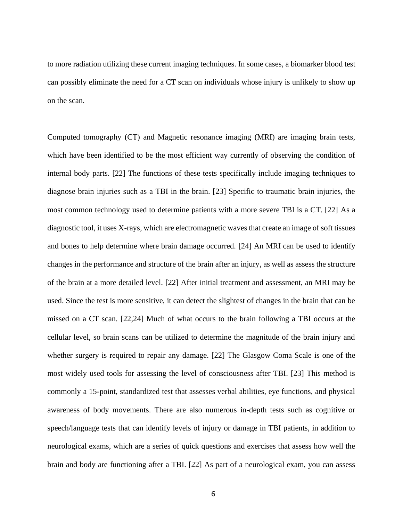to more radiation utilizing these current imaging techniques. In some cases, a biomarker blood test can possibly eliminate the need for a CT scan on individuals whose injury is unlikely to show up on the scan.

Computed tomography (CT) and Magnetic resonance imaging (MRI) are imaging brain tests, which have been identified to be the most efficient way currently of observing the condition of internal body parts. [22] The functions of these tests specifically include imaging techniques to diagnose brain injuries such as a TBI in the brain. [23] Specific to traumatic brain injuries, the most common technology used to determine patients with a more severe TBI is a CT. [22] As a diagnostic tool, it uses X-rays, which are electromagnetic waves that create an image of soft tissues and bones to help determine where brain damage occurred. [24] An MRI can be used to identify changes in the performance and structure of the brain after an injury, as well as assess the structure of the brain at a more detailed level. [22] After initial treatment and assessment, an MRI may be used. Since the test is more sensitive, it can detect the slightest of changes in the brain that can be missed on a CT scan. [22,24] Much of what occurs to the brain following a TBI occurs at the cellular level, so brain scans can be utilized to determine the magnitude of the brain injury and whether surgery is required to repair any damage. [22] The Glasgow Coma Scale is one of the most widely used tools for assessing the level of consciousness after TBI. [23] This method is commonly a 15-point, standardized test that assesses verbal abilities, eye functions, and physical awareness of body movements. There are also numerous in-depth tests such as cognitive or speech/language tests that can identify levels of injury or damage in TBI patients, in addition to neurological exams, which are a series of quick questions and exercises that assess how well the brain and body are functioning after a TBI. [22] As part of a neurological exam, you can assess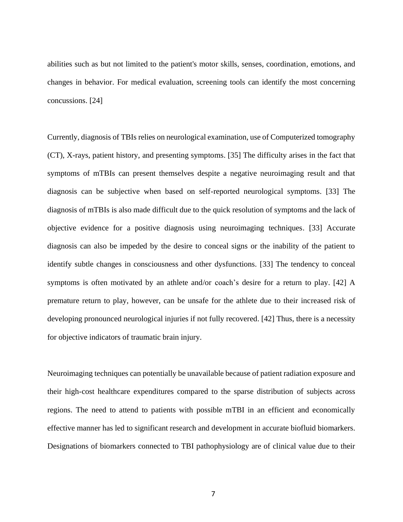abilities such as but not limited to the patient's motor skills, senses, coordination, emotions, and changes in behavior. For medical evaluation, screening tools can identify the most concerning concussions. [24]

Currently, diagnosis of TBIs relies on neurological examination, use of Computerized tomography (CT), X-rays, patient history, and presenting symptoms. [35] The difficulty arises in the fact that symptoms of mTBIs can present themselves despite a negative neuroimaging result and that diagnosis can be subjective when based on self-reported neurological symptoms. [33] The diagnosis of mTBIs is also made difficult due to the quick resolution of symptoms and the lack of objective evidence for a positive diagnosis using neuroimaging techniques. [33] Accurate diagnosis can also be impeded by the desire to conceal signs or the inability of the patient to identify subtle changes in consciousness and other dysfunctions. [33] The tendency to conceal symptoms is often motivated by an athlete and/or coach's desire for a return to play. [42] A premature return to play, however, can be unsafe for the athlete due to their increased risk of developing pronounced neurological injuries if not fully recovered. [42] Thus, there is a necessity for objective indicators of traumatic brain injury.

Neuroimaging techniques can potentially be unavailable because of patient radiation exposure and their high-cost healthcare expenditures compared to the sparse distribution of subjects across regions. The need to attend to patients with possible mTBI in an efficient and economically effective manner has led to significant research and development in accurate biofluid biomarkers. Designations of biomarkers connected to TBI pathophysiology are of clinical value due to their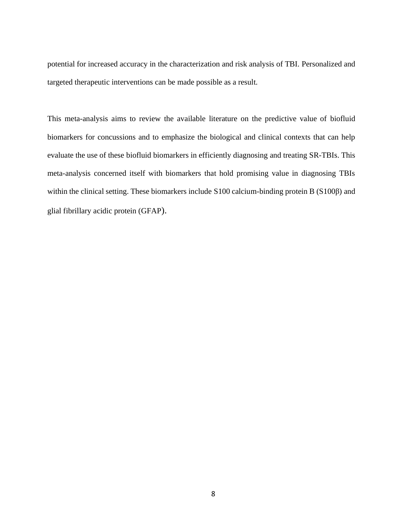potential for increased accuracy in the characterization and risk analysis of TBI. Personalized and targeted therapeutic interventions can be made possible as a result.

This meta-analysis aims to review the available literature on the predictive value of biofluid biomarkers for concussions and to emphasize the biological and clinical contexts that can help evaluate the use of these biofluid biomarkers in efficiently diagnosing and treating SR-TBIs. This meta-analysis concerned itself with biomarkers that hold promising value in diagnosing TBIs within the clinical setting. These biomarkers include S100 calcium-binding protein B (S100β) and glial fibrillary acidic protein (GFAP).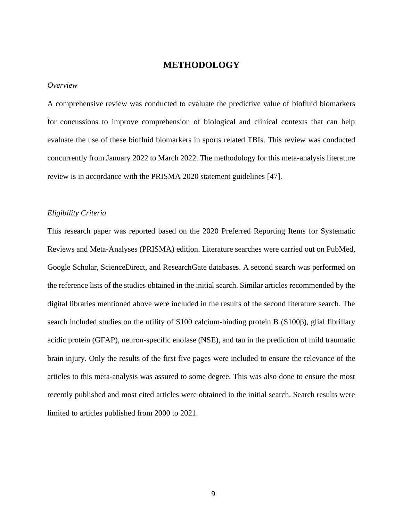# **METHODOLOGY**

#### <span id="page-17-1"></span><span id="page-17-0"></span>*Overview*

A comprehensive review was conducted to evaluate the predictive value of biofluid biomarkers for concussions to improve comprehension of biological and clinical contexts that can help evaluate the use of these biofluid biomarkers in sports related TBIs. This review was conducted concurrently from January 2022 to March 2022. The methodology for this meta-analysis literature review is in accordance with the PRISMA 2020 statement guidelines [47].

## <span id="page-17-2"></span>*Eligibility Criteria*

This research paper was reported based on the 2020 Preferred Reporting Items for Systematic Reviews and Meta-Analyses (PRISMA) edition. Literature searches were carried out on PubMed, Google Scholar, ScienceDirect, and ResearchGate databases. A second search was performed on the reference lists of the studies obtained in the initial search. Similar articles recommended by the digital libraries mentioned above were included in the results of the second literature search. The search included studies on the utility of S100 calcium-binding protein B (S100β), glial fibrillary acidic protein (GFAP), neuron-specific enolase (NSE), and tau in the prediction of mild traumatic brain injury. Only the results of the first five pages were included to ensure the relevance of the articles to this meta-analysis was assured to some degree. This was also done to ensure the most recently published and most cited articles were obtained in the initial search. Search results were limited to articles published from 2000 to 2021.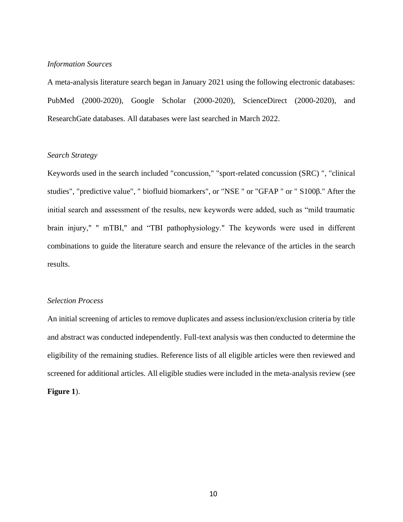## <span id="page-18-0"></span>*Information Sources*

A meta-analysis literature search began in January 2021 using the following electronic databases: PubMed (2000-2020), Google Scholar (2000-2020), ScienceDirect (2000-2020), and ResearchGate databases. All databases were last searched in March 2022.

# <span id="page-18-1"></span>*Search Strategy*

Keywords used in the search included "concussion," "sport-related concussion (SRC) ", "clinical studies", "predictive value", " biofluid biomarkers", or "NSE " or "GFAP " or " S100β." After the initial search and assessment of the results, new keywords were added, such as "mild traumatic brain injury," " mTBI," and "TBI pathophysiology." The keywords were used in different combinations to guide the literature search and ensure the relevance of the articles in the search results.

## <span id="page-18-2"></span>*Selection Process*

An initial screening of articles to remove duplicates and assess inclusion/exclusion criteria by title and abstract was conducted independently. Full-text analysis was then conducted to determine the eligibility of the remaining studies. Reference lists of all eligible articles were then reviewed and screened for additional articles. All eligible studies were included in the meta-analysis review (see **Figure 1**).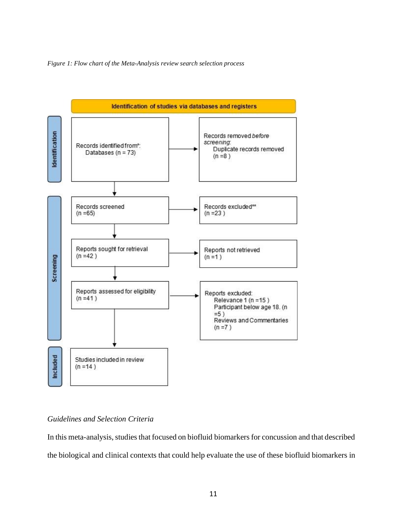<span id="page-19-1"></span>



## <span id="page-19-0"></span>*Guidelines and Selection Criteria*

In this meta-analysis, studies that focused on biofluid biomarkers for concussion and that described the biological and clinical contexts that could help evaluate the use of these biofluid biomarkers in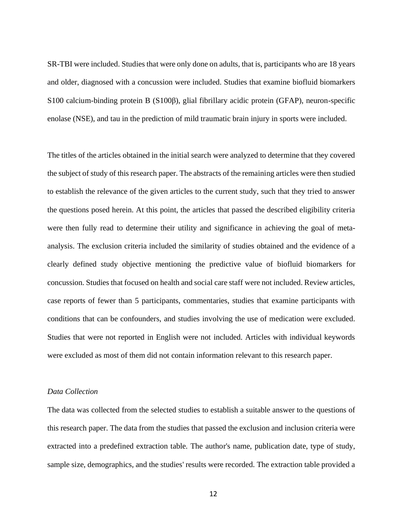SR-TBI were included. Studies that were only done on adults, that is, participants who are 18 years and older, diagnosed with a concussion were included. Studies that examine biofluid biomarkers S100 calcium-binding protein B (S100β), glial fibrillary acidic protein (GFAP), neuron-specific enolase (NSE), and tau in the prediction of mild traumatic brain injury in sports were included.

The titles of the articles obtained in the initial search were analyzed to determine that they covered the subject of study of this research paper. The abstracts of the remaining articles were then studied to establish the relevance of the given articles to the current study, such that they tried to answer the questions posed herein. At this point, the articles that passed the described eligibility criteria were then fully read to determine their utility and significance in achieving the goal of metaanalysis. The exclusion criteria included the similarity of studies obtained and the evidence of a clearly defined study objective mentioning the predictive value of biofluid biomarkers for concussion. Studies that focused on health and social care staff were not included. Review articles, case reports of fewer than 5 participants, commentaries, studies that examine participants with conditions that can be confounders, and studies involving the use of medication were excluded. Studies that were not reported in English were not included. Articles with individual keywords were excluded as most of them did not contain information relevant to this research paper.

# <span id="page-20-0"></span>*Data Collection*

The data was collected from the selected studies to establish a suitable answer to the questions of this research paper. The data from the studies that passed the exclusion and inclusion criteria were extracted into a predefined extraction table. The author's name, publication date, type of study, sample size, demographics, and the studies' results were recorded. The extraction table provided a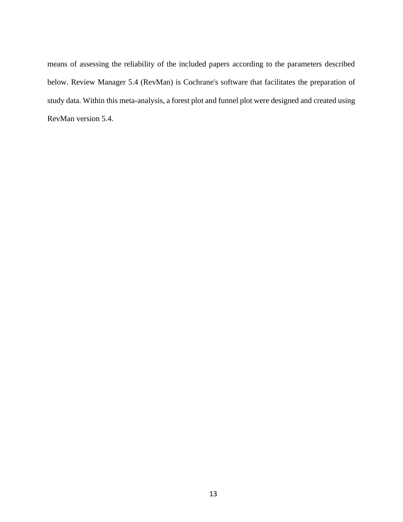means of assessing the reliability of the included papers according to the parameters described below. Review Manager 5.4 (RevMan) is Cochrane's software that facilitates the preparation of study data. Within this meta-analysis, a forest plot and funnel plot were designed and created using RevMan version 5.4.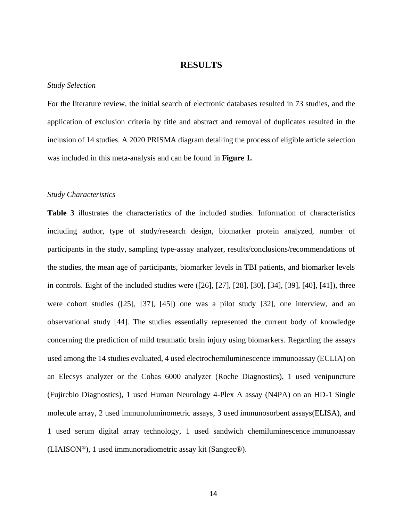# **RESULTS**

#### <span id="page-22-1"></span><span id="page-22-0"></span>*Study Selection*

For the literature review, the initial search of electronic databases resulted in 73 studies, and the application of exclusion criteria by title and abstract and removal of duplicates resulted in the inclusion of 14 studies. A 2020 PRISMA diagram detailing the process of eligible article selection was included in this meta-analysis and can be found in **Figure 1.**

#### <span id="page-22-2"></span>*Study Characteristics*

**Table 3** illustrates the characteristics of the included studies. Information of characteristics including author, type of study/research design, biomarker protein analyzed, number of participants in the study, sampling type-assay analyzer, results/conclusions/recommendations of the studies, the mean age of participants, biomarker levels in TBI patients, and biomarker levels in controls. Eight of the included studies were ([26], [27], [28], [30], [34], [39], [40], [41]), three were cohort studies ([25], [37], [45]) one was a pilot study [32], one interview, and an observational study [44]. The studies essentially represented the current body of knowledge concerning the prediction of mild traumatic brain injury using biomarkers. Regarding the assays used among the 14 studies evaluated, 4 used electrochemiluminescence immunoassay (ECLIA) on an Elecsys analyzer or the Cobas 6000 analyzer (Roche Diagnostics), 1 used venipuncture (Fujirebio Diagnostics), 1 used Human Neurology 4-Plex A assay (N4PA) on an HD-1 Single molecule array, 2 used immunoluminometric assays, 3 used immunosorbent assays(ELISA), and 1 used serum digital array technology, 1 used sandwich chemiluminescence immunoassay (LIAISON®), 1 used immunoradiometric assay kit (Sangtec®).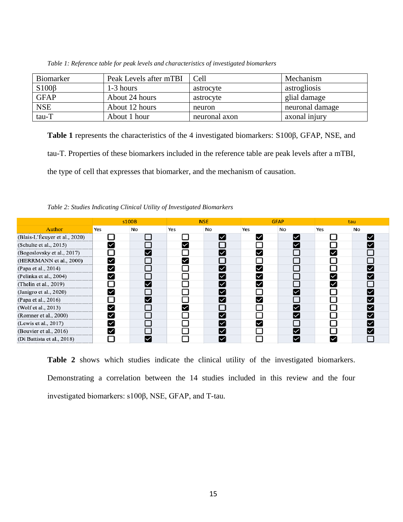| Biomarker   | Peak Levels after mTBI | Cell          | Mechanism       |
|-------------|------------------------|---------------|-----------------|
| $S100\beta$ | 1-3 hours              | astrocyte     | astrogliosis    |
| <b>GFAP</b> | About 24 hours         | astrocyte     | glial damage    |
| <b>NSE</b>  | About 12 hours         | neuron        | neuronal damage |
| tau-T       | About 1 hour           | neuronal axon | axonal injury   |

<span id="page-23-0"></span>*Table 1: Reference table for peak levels and characteristics of investigated biomarkers*

**Table 1** represents the characteristics of the 4 investigated biomarkers: S100β, GFAP, NSE, and tau-T. Properties of these biomarkers included in the reference table are peak levels after a mTBI, the type of cell that expresses that biomarker, and the mechanism of causation.

<span id="page-23-1"></span>*Table 2: Studies Indicating Clinical Utility of Investigated Biomarkers*

|                               | s100B |    |     | <b>NSE</b> |     | <b>GFAP</b> |     | tau |  |
|-------------------------------|-------|----|-----|------------|-----|-------------|-----|-----|--|
| Author                        | Yes   | No | Yes | No         | Yes | No          | Yes | No  |  |
| (Blais-L'Écuyer et al., 2020) |       |    |     | M          | ◡   | ∨           |     |     |  |
| (Schulte et al., 2015)        |       |    |     |            |     |             |     |     |  |
| (Bogoslovsky et al., 2017)    |       | V  |     | M          | M   |             |     |     |  |
| (HERRMANN et al., 2000)       | ✓     |    |     |            |     |             |     |     |  |
| (Papa et al., 2014)           |       |    |     |            |     |             |     |     |  |
| (Pelinka et al., 2004)        | M     |    |     | M          | M   |             |     |     |  |
| (Thelin et al., 2019)         |       |    |     |            |     |             |     |     |  |
| (Janigro et al., 2020)        |       |    |     |            |     |             |     |     |  |
| (Papa et al., 2016)           |       | M  |     | M          | V   |             |     |     |  |
| (Wolf et al., 2013)           |       |    |     |            |     |             |     |     |  |
| (Romner et al., 2000)         | ✓     |    |     |            |     | M           |     |     |  |
| (Lewis et al., 2017)          | ☑     |    |     | M          | M   |             |     |     |  |
| (Bouvier et al., 2016)        |       |    |     |            |     |             |     |     |  |
| (Di Battista et al., 2018)    |       |    |     |            |     | ∨           |     |     |  |

**Table 2** shows which studies indicate the clinical utility of the investigated biomarkers. Demonstrating a correlation between the 14 studies included in this review and the four investigated biomarkers: s100β, NSE, GFAP, and T-tau.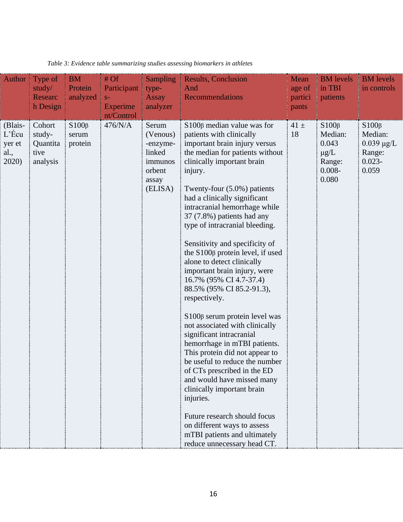| Author                                         | Type of<br>study/<br>Researc<br>h Design         | <b>BM</b><br>Protein<br>analyzed | #Of<br>Participant<br>$S-$<br><b>Experime</b><br>nt/Control | <b>Sampling</b><br>type-<br><b>Assay</b><br>analyzer                             | <b>Results, Conclusion</b><br>And<br>Recommendations                                                                                                                                                                                                                                                                                                                                                                                                                                                                                                                                                                                                                                                                                                                                                                                                                                                                                                                                                           | Mean<br>age of<br>partici<br>pants | <b>BM</b> levels<br>in TBI<br>patients                                       | <b>BM</b> levels<br>in controls                                           |
|------------------------------------------------|--------------------------------------------------|----------------------------------|-------------------------------------------------------------|----------------------------------------------------------------------------------|----------------------------------------------------------------------------------------------------------------------------------------------------------------------------------------------------------------------------------------------------------------------------------------------------------------------------------------------------------------------------------------------------------------------------------------------------------------------------------------------------------------------------------------------------------------------------------------------------------------------------------------------------------------------------------------------------------------------------------------------------------------------------------------------------------------------------------------------------------------------------------------------------------------------------------------------------------------------------------------------------------------|------------------------------------|------------------------------------------------------------------------------|---------------------------------------------------------------------------|
| (Blais-<br>$L$ 'Écu<br>yer et<br>al.,<br>2020) | Cohort<br>study-<br>Quantita<br>tive<br>analysis | $S100\beta$<br>serum<br>protein  | 476/N/A                                                     | Serum<br>(Venous)<br>-enzyme-<br>linked<br>immunos<br>orbent<br>assay<br>(ELISA) | $S100\beta$ median value was for<br>patients with clinically<br>important brain injury versus<br>the median for patients without<br>clinically important brain<br>injury.<br>Twenty-four $(5.0\%)$ patients<br>had a clinically significant<br>intracranial hemorrhage while<br>37 (7.8%) patients had any<br>type of intracranial bleeding.<br>Sensitivity and specificity of<br>the $S100\beta$ protein level, if used<br>alone to detect clinically<br>important brain injury, were<br>16.7% (95% CI 4.7-37.4)<br>88.5% (95% CI 85.2-91.3),<br>respectively.<br>$S100\beta$ serum protein level was<br>not associated with clinically<br>significant intracranial<br>hemorrhage in mTBI patients.<br>This protein did not appear to<br>be useful to reduce the number<br>of CTs prescribed in the ED<br>and would have missed many<br>clinically important brain<br>injuries.<br>Future research should focus<br>on different ways to assess<br>mTBI patients and ultimately<br>reduce unnecessary head CT. | $41 \pm$<br>18                     | $S100\beta$<br>Median:<br>0.043<br>$\mu g/L$<br>Range:<br>$0.008 -$<br>0.080 | $S100\beta$<br>Median:<br>$0.039 \mu g/L$<br>Range:<br>$0.023 -$<br>0.059 |

<span id="page-24-0"></span>*Table 3: Evidence table summarizing studies assessing biomarkers in athletes*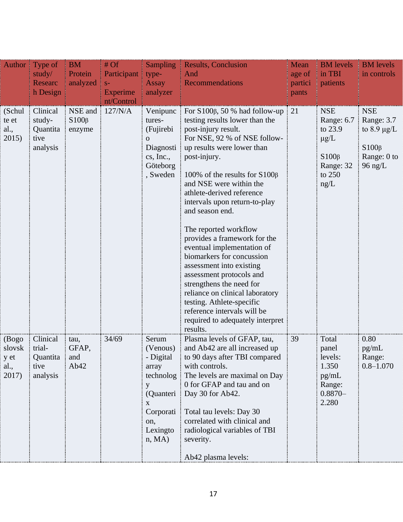| Author $\parallel$                       | Type of<br>study/<br>Researc<br>h Design             | <b>BM</b><br>Protein<br>analyzed | #Of<br>Participant<br>$S-$<br><b>Experime</b><br>nt/Control | <b>Sampling</b><br>type-<br><b>Assay</b><br>analyzer                                                                 | <b>Results, Conclusion</b><br>And<br><b>Recommendations</b>                                                                                                                                                                                                                                                                                                                                                                                                                                                                                                                                                                                                                           | Mean<br>age of<br>partici<br>pants | <b>BM</b> levels<br>in TBI<br>patients                                                         | <b>BM</b> levels<br>in controls                                                         |
|------------------------------------------|------------------------------------------------------|----------------------------------|-------------------------------------------------------------|----------------------------------------------------------------------------------------------------------------------|---------------------------------------------------------------------------------------------------------------------------------------------------------------------------------------------------------------------------------------------------------------------------------------------------------------------------------------------------------------------------------------------------------------------------------------------------------------------------------------------------------------------------------------------------------------------------------------------------------------------------------------------------------------------------------------|------------------------------------|------------------------------------------------------------------------------------------------|-----------------------------------------------------------------------------------------|
| (Schul)<br>te et<br>al.,<br>2015)        | Clinical<br>study-<br>Quantita<br>tive<br>analysis   | NSE and<br>$S100\beta$<br>enzyme | 127/N/A                                                     | Venipunc<br>tures-<br>(Fujirebi<br>$\Omega$<br>Diagnosti<br>cs, Inc.,<br>Göteborg<br>, Sweden                        | For $S100\beta$ , 50 % had follow-up<br>testing results lower than the<br>post-injury result.<br>For NSE, 92 % of NSE follow-<br>up results were lower than<br>post-injury.<br>100% of the results for $S100\beta$<br>and NSE were within the<br>athlete-derived reference<br>intervals upon return-to-play<br>and season end.<br>The reported workflow<br>provides a framework for the<br>eventual implementation of<br>biomarkers for concussion<br>assessment into existing<br>assessment protocols and<br>strengthens the need for<br>reliance on clinical laboratory<br>testing. Athlete-specific<br>reference intervals will be<br>required to adequately interpret<br>results. | $\frac{1}{21}$                     | <b>NSE</b><br>Range: 6.7<br>to 23.9<br>$\mu$ g/L<br>$S100\beta$<br>Range: 32<br>to 250<br>ng/L | <b>NSE</b><br>Range: 3.7<br>to 8.9 $\mu$ g/L<br>$S100\beta$<br>Range: 0 to<br>$96$ ng/L |
| (Bogo<br>slovsk<br>y et<br>al.,<br>2017) | Clinical<br>trial-<br>Quantita i<br>tive<br>analysis | tau,<br>GFAP,<br>and<br>Ab42     | 34/69                                                       | Serum<br>(Venous)<br>- Digital<br>array<br>technolog<br>y<br>(Quanteri<br>X<br>Corporati<br>on,<br>Lexingto<br>n, MA | Plasma levels of GFAP, tau,<br>and Ab42 are all increased up<br>to 90 days after TBI compared<br>with controls.<br>The levels are maximal on Day<br>0 for GFAP and tau and on<br>Day 30 for Ab42.<br>Total tau levels: Day 30<br>correlated with clinical and<br>radiological variables of TBI<br>severity.<br>Ab42 plasma levels:                                                                                                                                                                                                                                                                                                                                                    | 39                                 | Total<br>panel<br>levels:<br>1.350<br>pg/mL<br>Range:<br>$0.8870 -$<br>2.280                   | 0.80<br>pg/mL<br>Range:<br>$0.8 - 1.070$                                                |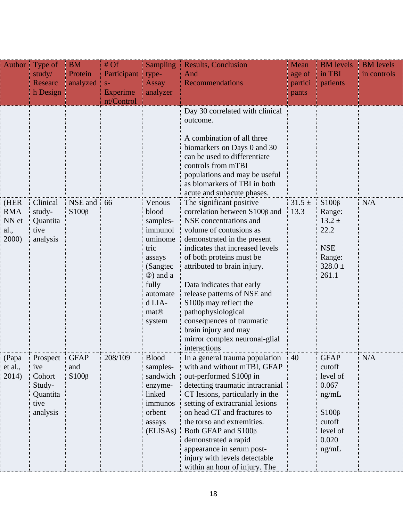|                                              | Author Type of<br>study/                                            | <b>BM</b><br>Protein                   | #Of<br>Participant             | <b>Sampling</b><br>type-                                                                                                                                             | <b>Results, Conclusion</b><br>And                                                                                                                                                                                                                                                                                                                                                                                                                                              | Mean<br>age of     | <b>BM</b> levels<br>in TBI                                                                                 | <b>BM</b> levels<br>in controls |
|----------------------------------------------|---------------------------------------------------------------------|----------------------------------------|--------------------------------|----------------------------------------------------------------------------------------------------------------------------------------------------------------------|--------------------------------------------------------------------------------------------------------------------------------------------------------------------------------------------------------------------------------------------------------------------------------------------------------------------------------------------------------------------------------------------------------------------------------------------------------------------------------|--------------------|------------------------------------------------------------------------------------------------------------|---------------------------------|
|                                              | Researc<br>h Design                                                 | analyzed                               | $S-$<br>Experime<br>nt/Control | <b>Assay</b><br>analyzer                                                                                                                                             | <b>Recommendations</b>                                                                                                                                                                                                                                                                                                                                                                                                                                                         | partici<br>pants   | patients                                                                                                   |                                 |
|                                              |                                                                     |                                        |                                |                                                                                                                                                                      | Day 30 correlated with clinical<br>outcome.                                                                                                                                                                                                                                                                                                                                                                                                                                    |                    |                                                                                                            |                                 |
|                                              |                                                                     |                                        |                                |                                                                                                                                                                      | A combination of all three<br>biomarkers on Days 0 and 30<br>can be used to differentiate<br>controls from mTBI<br>populations and may be useful<br>as biomarkers of TBI in both<br>acute and subacute phases.                                                                                                                                                                                                                                                                 |                    |                                                                                                            |                                 |
| (HER<br><b>RMA</b><br>NN et<br>al.,<br>2000) | Clinical<br>study-<br>Quantita<br>tive<br>analysis                  | NSE and<br>$S100\beta$                 | 66                             | Venous<br>blood<br>samples-<br>immunol<br>uminome<br>tric<br>assays<br>(Sangtec)<br>$\circledR$ ) and a<br>fully<br>automate<br>d LIA-<br>mat <sup>®</sup><br>system | The significant positive<br>correlation between S100 <sub>β</sub> and<br>NSE concentrations and<br>volume of contusions as<br>demonstrated in the present<br>indicates that increased levels<br>of both proteins must be<br>attributed to brain injury.<br>Data indicates that early<br>release patterns of NSE and<br>$S100\beta$ may reflect the<br>pathophysiological<br>consequences of traumatic<br>brain injury and may<br>mirror complex neuronal-glial<br>interactions | $31.5 \pm$<br>13.3 | $S100\beta$<br>Range:<br>$13.2 \pm$<br>22.2<br><b>NSE</b><br>Range:<br>$328.0 \pm$<br>261.1                | N/A                             |
| (Papa<br>et al.,<br>2014)                    | Prospect<br>ive<br>Cohort<br>Study-<br>Quantita<br>tive<br>analysis | <b>GFAP</b><br>÷<br>and<br>$S100\beta$ | 208/109                        | <b>Blood</b><br>samples-<br>sandwich<br>enzyme-<br>linked<br>immunos<br>orbent<br>assays<br>(ELISAs)                                                                 | In a general trauma population<br>with and without mTBI, GFAP<br>out-performed S100β in<br>detecting traumatic intracranial<br>CT lesions, particularly in the<br>setting of extracranial lesions<br>on head CT and fractures to<br>the torso and extremities.<br>Both GFAP and S100 <sub>β</sub><br>demonstrated a rapid<br>appearance in serum post-<br>injury with levels detectable<br>within an hour of injury. The                                                       | 40                 | <b>GFAP</b><br>cutoff<br>level of<br>0.067<br>ng/mL<br>$S100\beta$<br>cutoff<br>level of<br>0.020<br>ng/mL | N/A                             |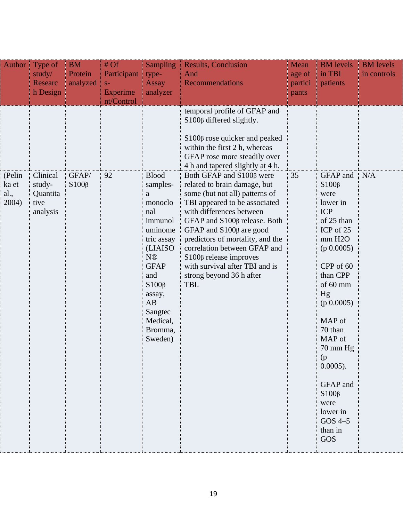| Author                           | Type of                                            | <b>BM</b>            | #Of              | <b>Sampling</b>                                                                                                                                                                                                     | <b>Results, Conclusion</b>                                                                                                                                                                                                                                                                                                                                                                                     | Mean             | <b>BM</b> levels                                                                                                                                                                                                                                                                                                                       | <b>BM</b> levels |
|----------------------------------|----------------------------------------------------|----------------------|------------------|---------------------------------------------------------------------------------------------------------------------------------------------------------------------------------------------------------------------|----------------------------------------------------------------------------------------------------------------------------------------------------------------------------------------------------------------------------------------------------------------------------------------------------------------------------------------------------------------------------------------------------------------|------------------|----------------------------------------------------------------------------------------------------------------------------------------------------------------------------------------------------------------------------------------------------------------------------------------------------------------------------------------|------------------|
|                                  | study/                                             | Protein              | Participant      | type-                                                                                                                                                                                                               | And                                                                                                                                                                                                                                                                                                                                                                                                            | age of           | in TBI                                                                                                                                                                                                                                                                                                                                 | in controls      |
|                                  | <b>Researc</b><br>h Design                         | analyzed             | $S-$<br>Experime | <b>Assay</b><br>analyzer                                                                                                                                                                                            | <b>Recommendations</b>                                                                                                                                                                                                                                                                                                                                                                                         | partici<br>pants | patients                                                                                                                                                                                                                                                                                                                               |                  |
|                                  |                                                    |                      | nt/Control       |                                                                                                                                                                                                                     |                                                                                                                                                                                                                                                                                                                                                                                                                |                  |                                                                                                                                                                                                                                                                                                                                        |                  |
|                                  |                                                    |                      |                  |                                                                                                                                                                                                                     | temporal profile of GFAP and<br>$S100\beta$ differed slightly.<br>S100β rose quicker and peaked<br>within the first 2 h, whereas<br>GFAP rose more steadily over<br>4 h and tapered slightly at 4 h.                                                                                                                                                                                                           |                  |                                                                                                                                                                                                                                                                                                                                        |                  |
| (Pelin<br>ka et<br>al.,<br>2004) | Clinical<br>study-<br>Quantita<br>tive<br>analysis | GFAP/<br>$S100\beta$ | 92               | <b>Blood</b><br>samples-<br>a<br>monoclo<br>nal<br>immunol<br>uminome<br>tric assay<br>(LIAISO)<br>N <sup>®</sup><br><b>GFAP</b><br>and<br>$S100\beta$<br>assay,<br>AB<br>Sangtec<br>Medical,<br>Bromma,<br>Sweden) | Both GFAP and S100β were<br>related to brain damage, but<br>some (but not all) patterns of<br>TBI appeared to be associated<br>with differences between<br>GFAP and S100 <sub>β</sub> release. Both<br>GFAP and $S100\beta$ are good<br>predictors of mortality, and the<br>correlation between GFAP and<br>$S100\beta$ release improves<br>with survival after TBI and is<br>strong beyond 36 h after<br>TBI. | 35               | $GFAP$ and $N/A$<br>$S100\beta$<br>were<br>lower in<br><b>ICP</b><br>of 25 than<br>ICP of 25<br>mm H2O<br>(p 0.0005)<br>CPP of 60<br>than CPP<br>of 60 mm<br>Hg<br>(p 0.0005)<br>MAP of<br>70 than<br>MAP of<br>$70 \text{ mm Hg}$<br>(p)<br>$0.0005$ ).<br>GFAP and<br>$S100\beta$<br>were<br>lower in<br>$GOS$ 4-5<br>than in<br>GOS |                  |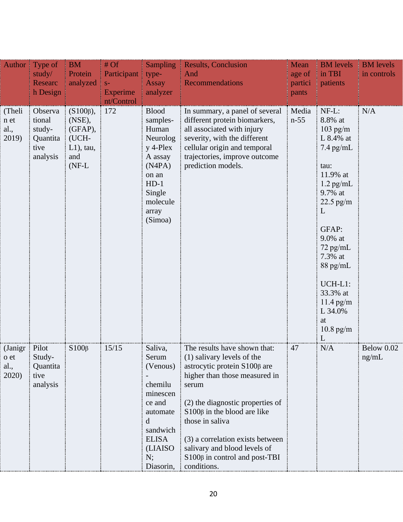|                                          | Author Type of<br>study/<br><b>Researc</b><br>h Design      | <b>BM</b><br>Protein<br>analyzed                                                | #Of<br>Participant<br>$S-$<br><b>Experime</b><br>nt/Control | <b>Sampling</b><br>type-<br><b>Assay</b><br>analyzer                                                                                          | <b>Results, Conclusion</b><br>And<br>Recommendations                                                                                                                                                                                                                                                                                                                   | Mean<br>age of<br>partici<br>pants | <b>BM</b> levels<br>in TBI<br>patients                                                                                                                                                                                                                           | <b>BM</b> levels<br>in controls |
|------------------------------------------|-------------------------------------------------------------|---------------------------------------------------------------------------------|-------------------------------------------------------------|-----------------------------------------------------------------------------------------------------------------------------------------------|------------------------------------------------------------------------------------------------------------------------------------------------------------------------------------------------------------------------------------------------------------------------------------------------------------------------------------------------------------------------|------------------------------------|------------------------------------------------------------------------------------------------------------------------------------------------------------------------------------------------------------------------------------------------------------------|---------------------------------|
| (Theli<br>n et<br>al.,<br>2019)          | Observa<br>tional<br>study-<br>Quantita<br>tive<br>analysis | $(S100\beta),$<br>(NSE),<br>(GFAP),<br>(UCH-<br>$L1$ ), tau,<br>and<br>$(NF-L)$ | 172                                                         | <b>Blood</b><br>samples-<br>Human<br>Neurolog<br>$y$ 4-Plex<br>A assay<br>(N4PA)<br>on an<br>$HD-1$<br>Single<br>molecule<br>array<br>(Simoa) | In summary, a panel of several<br>different protein biomarkers,<br>all associated with injury<br>severity, with the different<br>cellular origin and temporal<br>trajectories, improve outcome<br>prediction models.                                                                                                                                                   | Media<br>$n-55$                    | NF-L:<br>8.8% at<br>$103$ pg/m<br>L 8.4% at<br>$7.4$ pg/mL<br>tau:<br>11.9% at<br>$1.2$ pg/mL<br>9.7% at<br>$22.5$ pg/m<br>L<br>GFAP:<br>9.0% at<br>72 pg/mL<br>7.3% at<br>$88$ pg/mL<br>UCH-L1:<br>33.3% at<br>$11.4$ pg/m<br>L 34.0%<br>at<br>$10.8$ pg/m<br>L | N/A                             |
| (Janigr   Pilot<br>o et<br>al.,<br>2020) | Study-<br>Quantita<br>tive<br>analysis                      | $S100\beta$                                                                     | 15/15                                                       | Saliva,<br>Serum<br>(Venous)<br>chemilu<br>minescen<br>ce and<br>automate<br>d<br>sandwich<br><b>ELISA</b><br>(LIAISO)<br>N;<br>Diasorin,     | The results have shown that:<br>(1) salivary levels of the<br>astrocytic protein S100 <sub>β</sub> are<br>higher than those measured in<br>serum<br>(2) the diagnostic properties of<br>$S100\beta$ in the blood are like<br>those in saliva<br>(3) a correlation exists between<br>salivary and blood levels of<br>$S100\beta$ in control and post-TBI<br>conditions. | 47                                 | N/A                                                                                                                                                                                                                                                              | Below 0.02<br>ng/mL             |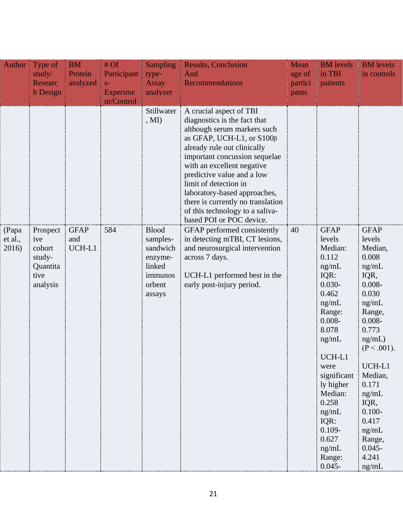| Author $\parallel$        | Type of                                                             | <b>BM</b>                    | $#$ Of            | <b>Sampling</b>                                                                                                | <b>Results, Conclusion</b>                                                                                                                                                                                                                                                                                                                                                                                                                                                                                                                                                                            | Mean    | <b>BM</b> levels                                                                                                                                                                                                                            | <b>BM</b> levels                                                                                                                                                                                                                              |
|---------------------------|---------------------------------------------------------------------|------------------------------|-------------------|----------------------------------------------------------------------------------------------------------------|-------------------------------------------------------------------------------------------------------------------------------------------------------------------------------------------------------------------------------------------------------------------------------------------------------------------------------------------------------------------------------------------------------------------------------------------------------------------------------------------------------------------------------------------------------------------------------------------------------|---------|---------------------------------------------------------------------------------------------------------------------------------------------------------------------------------------------------------------------------------------------|-----------------------------------------------------------------------------------------------------------------------------------------------------------------------------------------------------------------------------------------------|
|                           | study/                                                              | Protein                      | Participant       | type-                                                                                                          | And                                                                                                                                                                                                                                                                                                                                                                                                                                                                                                                                                                                                   | age of  | in TBI                                                                                                                                                                                                                                      | in controls                                                                                                                                                                                                                                   |
|                           | <b>Researc</b>                                                      | analyzed                     | $S-$              | <b>Assay</b>                                                                                                   | Recommendations                                                                                                                                                                                                                                                                                                                                                                                                                                                                                                                                                                                       | partici | patients                                                                                                                                                                                                                                    |                                                                                                                                                                                                                                               |
|                           | h Design                                                            |                              | <b>Experime</b>   | analyzer                                                                                                       |                                                                                                                                                                                                                                                                                                                                                                                                                                                                                                                                                                                                       | pants   |                                                                                                                                                                                                                                             |                                                                                                                                                                                                                                               |
|                           |                                                                     |                              |                   |                                                                                                                |                                                                                                                                                                                                                                                                                                                                                                                                                                                                                                                                                                                                       |         |                                                                                                                                                                                                                                             |                                                                                                                                                                                                                                               |
| (Papa<br>et al.,<br>2016) | Prospect<br>ive<br>cohort<br>study-<br>Quantita<br>tive<br>analysis | <b>GFAP</b><br>and<br>UCH-L1 | nt/Control<br>584 | Stillwater<br>, MI<br><b>Blood</b><br>samples-<br>sandwich<br>enzyme-<br>linked<br>immunos<br>orbent<br>assays | A crucial aspect of TBI<br>diagnostics is the fact that<br>although serum markers such<br>as GFAP, UCH-L1, or S100 $\beta$<br>already rule out clinically<br>important concussion sequelae<br>with an excellent negative<br>predictive value and a low<br>limit of detection in<br>laboratory-based approaches,<br>there is currently no translation<br>of this technology to a saliva-<br>based POI or POC device.<br>GFAP performed consistently<br>in detecting mTBI, CT lesions,<br>and neurosurgical intervention<br>across 7 days.<br>UCH-L1 performed best in the<br>early post-injury period. | 40      | <b>GFAP</b><br>levels<br>Median:<br>0.112<br>ng/mL<br>IQR:<br>$0.030 -$<br>0.462<br>ng/mL<br>Range:<br>$0.008 -$<br>8.078<br>ng/mL<br>UCH-L1<br>were<br>significant<br>ly higher<br>Median:<br>0.258<br>ng/mL<br>IQR:<br>$0.109 -$<br>0.627 | <b>GFAP</b><br>levels<br>Median,<br>0.008<br>ng/mL<br>IQR,<br>$0.008 -$<br>0.030<br>ng/mL<br>Range,<br>$0.008 -$<br>0.773<br>ng/mL)<br>$(P < .001)$ .<br>UCH-L1<br>Median,<br>0.171<br>ng/mL<br>IQR,<br>$0.100 -$<br>0.417<br>ng/mL<br>Range, |
|                           |                                                                     |                              |                   |                                                                                                                |                                                                                                                                                                                                                                                                                                                                                                                                                                                                                                                                                                                                       |         | ng/mL<br>Range:                                                                                                                                                                                                                             | $0.045 -$<br>4.241                                                                                                                                                                                                                            |
|                           |                                                                     |                              |                   |                                                                                                                |                                                                                                                                                                                                                                                                                                                                                                                                                                                                                                                                                                                                       |         | $0.045 -$                                                                                                                                                                                                                                   | ng/mL                                                                                                                                                                                                                                         |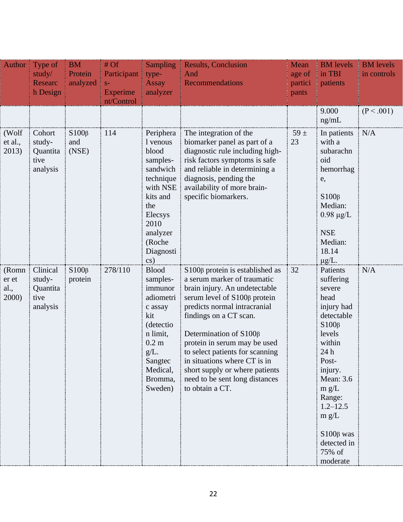| Author $\parallel$ | Type of            | <b>BM</b>              | #Of             | <b>Sampling</b>          | <b>Results, Conclusion</b>                                           | Mean     | <b>BM</b> levels            | <b>BM</b> levels |
|--------------------|--------------------|------------------------|-----------------|--------------------------|----------------------------------------------------------------------|----------|-----------------------------|------------------|
|                    | study/             | Protein                | Participant     | type-                    | And                                                                  | age of   | in TBI                      | in controls      |
|                    | <b>Researc</b>     | analyzed               | $S-$            | <b>Assay</b>             | <b>Recommendations</b>                                               | partici  | patients                    |                  |
|                    | h Design           |                        | <b>Experime</b> | analyzer                 |                                                                      | pants    |                             |                  |
|                    |                    |                        | nt/Control      |                          |                                                                      |          |                             |                  |
|                    |                    |                        |                 |                          |                                                                      |          | 9.000                       | (P < .001)       |
|                    |                    |                        |                 |                          |                                                                      |          | ng/mL                       |                  |
| (Wolf              | Cohort             | $S100\beta$            | 114             | Periphera                | The integration of the                                               | $59 \pm$ | In patients                 | N/A              |
| et al.,            | study-             | and                    |                 | 1 venous                 | biomarker panel as part of a                                         | 23       | with a                      |                  |
| 2013)              | Quantita           | (NSE)                  |                 | blood                    | diagnostic rule including high-                                      |          | subarachn                   |                  |
|                    | tive               |                        |                 | samples-                 | risk factors symptoms is safe                                        |          | oid                         |                  |
|                    | analysis           |                        |                 | sandwich<br>technique    | and reliable in determining a<br>diagnosis, pending the              |          | hemorrhag<br>e,             |                  |
|                    |                    |                        |                 | with NSE                 | availability of more brain-                                          |          |                             |                  |
|                    |                    |                        |                 | kits and                 | specific biomarkers.                                                 |          | $S100\beta$                 |                  |
|                    |                    |                        |                 | the                      |                                                                      |          | Median:                     |                  |
|                    |                    |                        |                 | Elecsys                  |                                                                      |          | $0.98 \mu g/L$              |                  |
|                    |                    |                        |                 | 2010                     |                                                                      |          |                             |                  |
|                    |                    |                        |                 | analyzer                 |                                                                      |          | <b>NSE</b>                  |                  |
|                    |                    |                        |                 | (Roche                   |                                                                      |          | Median:                     |                  |
|                    |                    |                        |                 | Diagnosti                |                                                                      |          | 18.14                       |                  |
|                    |                    |                        |                 | cs)                      |                                                                      |          | $\mu$ g/L.                  |                  |
| (Romn)<br>er et    | Clinical<br>study- | $S100\beta$<br>protein | 278/110         | <b>Blood</b><br>samples- | $S100\beta$ protein is established as<br>a serum marker of traumatic | 32       | Patients<br>suffering       | N/A              |
| al.,               | Quantita           |                        |                 | immunor                  | brain injury. An undetectable                                        |          | severe                      |                  |
| 2000)              | tive               |                        |                 | adiometri                | serum level of S100 <sub>β</sub> protein                             |          | head                        |                  |
|                    | analysis           |                        |                 | c assay                  | predicts normal intracranial                                         |          | injury had                  |                  |
|                    |                    |                        |                 | kit                      | findings on a CT scan.                                               |          | detectable                  |                  |
|                    |                    |                        |                 | (detectio                |                                                                      |          | $S100\beta$                 |                  |
|                    |                    |                        |                 | n limit,                 | Determination of S100 <sub>β</sub>                                   |          | levels                      |                  |
|                    |                    |                        |                 | 0.2 <sub>m</sub>         | protein in serum may be used                                         |          | within                      |                  |
|                    |                    |                        |                 | $g/L$ .                  | to select patients for scanning                                      |          | 24 h                        |                  |
|                    |                    |                        |                 | Sangtec                  | in situations where CT is in                                         |          | Post-                       |                  |
|                    |                    |                        |                 | Medical,<br>Bromma,      | short supply or where patients<br>need to be sent long distances     |          | injury.<br><b>Mean: 3.6</b> |                  |
|                    |                    |                        |                 | Sweden)                  | to obtain a CT.                                                      |          | m g/L                       |                  |
|                    |                    |                        |                 |                          |                                                                      |          | Range:                      |                  |
|                    |                    |                        |                 |                          |                                                                      |          | $1.2 - 12.5$                |                  |
|                    |                    |                        |                 |                          |                                                                      |          | m g/L                       |                  |
|                    |                    |                        |                 |                          |                                                                      |          |                             |                  |
|                    |                    |                        |                 |                          |                                                                      |          | $S100\beta$ was             |                  |
|                    |                    |                        |                 |                          |                                                                      |          | detected in                 |                  |
|                    |                    |                        |                 |                          |                                                                      |          | 75% of                      |                  |
|                    |                    |                        |                 |                          |                                                                      |          | moderate                    |                  |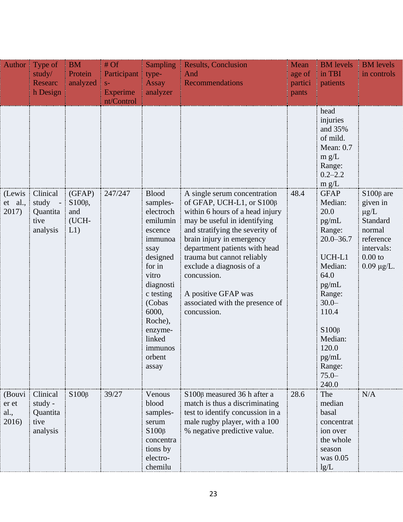|                                   | Author $\vert$ Type of<br>study/<br><b>Researc</b><br>h Design | $\parallel$ BM<br><b>Protein</b><br>analyzed | #Of<br>Participant   type-<br>$S-$<br>Experime<br>nt/Control | <b>Assay</b><br>analyzer                                                                                                                                                         | <b>Sampling Results, Conclusion</b><br>And<br>Recommendations                                                                                                                                                                                                                   | Mean<br>age of<br>partici<br>pants | <b>BM</b> levels<br>in TBI<br>patients                                                                                                                                          | <b>BM</b> levels<br>in controls                                                |
|-----------------------------------|----------------------------------------------------------------|----------------------------------------------|--------------------------------------------------------------|----------------------------------------------------------------------------------------------------------------------------------------------------------------------------------|---------------------------------------------------------------------------------------------------------------------------------------------------------------------------------------------------------------------------------------------------------------------------------|------------------------------------|---------------------------------------------------------------------------------------------------------------------------------------------------------------------------------|--------------------------------------------------------------------------------|
| ( Lewis :<br>et al.,<br>2017)     | Clinical<br>study<br>Quantita                                  | (GFAP)<br>$S100\beta$ ,<br>and               | 247/247                                                      | <b>Blood</b><br>samples-<br>electroch                                                                                                                                            | A single serum concentration<br>of GFAP, UCH-L1, or S100 $\beta$<br>within 6 hours of a head injury                                                                                                                                                                             | 48.4                               | head<br>injuries<br>and 35%<br>of mild.<br>Mean: 0.7<br>m g/L<br>Range:<br>$0.2 - 2.2$<br>m g/L<br><b>GFAP</b><br>Median:<br>20.0                                               | $S100\beta$ are<br>given in<br>$\mu$ g/L                                       |
|                                   | tive<br>analysis                                               | (UCH-<br>L1)                                 |                                                              | emilumin<br>escence<br>immunoa<br>ssay<br>designed<br>for in<br>vitro<br>diagnosti<br>c testing<br>(Cobas<br>6000,<br>Roche),<br>enzyme-<br>linked<br>immunos<br>orbent<br>assay | may be useful in identifying<br>and stratifying the severity of<br>brain injury in emergency<br>department patients with head<br>trauma but cannot reliably<br>exclude a diagnosis of a<br>concussion.<br>A positive GFAP was<br>associated with the presence of<br>concussion. |                                    | pg/mL<br>Range:<br>$20.0 - 36.7$<br>UCH-L1<br>Median:<br>64.0<br>pg/mL<br>Range:<br>$30.0-$<br>110.4<br>$S100\beta$<br>Median:<br>120.0<br>pg/mL<br>Range:<br>$75.0 -$<br>240.0 | Standard<br>normal<br>reference<br>intervals:<br>$0.00$ to<br>$0.09 \mu g/L$ . |
| (Bouvi)<br>er et<br>al.,<br>2016) | Clinical<br>study -<br>Quantita<br>tive<br>analysis            | $S100\beta$                                  | 39/27                                                        | Venous<br>blood<br>samples-<br>serum<br>$S100\beta$<br>concentra<br>tions by<br>electro-<br>chemilu                                                                              | S100β measured 36 h after a<br>match is thus a discriminating<br>test to identify concussion in a<br>male rugby player, with a 100<br>% negative predictive value.                                                                                                              | 28.6                               | The<br>median<br>basal<br>concentrat<br>ion over<br>the whole<br>season<br>was 0.05<br>$\frac{1}{2}$ lg/L                                                                       | N/A                                                                            |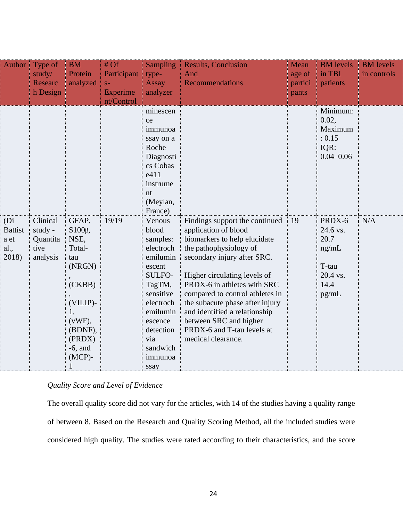|                                                 | Author Type of<br>study/<br>Researc<br>h Design     | <b>BM</b><br>Protein<br>analyzed                                                                                                          | # Of<br>Participant type-<br>$S-$<br><b>Experime</b><br>nt/Control | Sampling<br><b>Assay</b><br>analyzer                                                                                                                                                                                                                                                                                | <b>Results, Conclusion</b><br>And<br>Recommendations                                                                                                                                                                                                                                                                                                                                                | Mean<br>age of<br>partici<br>pants | <b>BM</b> levels<br>in TBI<br>T<br>patients                                                                                                  | <b>BM</b> levels<br>in controls |
|-------------------------------------------------|-----------------------------------------------------|-------------------------------------------------------------------------------------------------------------------------------------------|--------------------------------------------------------------------|---------------------------------------------------------------------------------------------------------------------------------------------------------------------------------------------------------------------------------------------------------------------------------------------------------------------|-----------------------------------------------------------------------------------------------------------------------------------------------------------------------------------------------------------------------------------------------------------------------------------------------------------------------------------------------------------------------------------------------------|------------------------------------|----------------------------------------------------------------------------------------------------------------------------------------------|---------------------------------|
| (Di)<br><b>Battist</b><br>a et<br>al.,<br>2018) | Clinical<br>study -<br>Quantita<br>tive<br>analysis | GFAP,<br>$S100\beta$ ,<br>NSE,<br>Total-<br>tau<br>(NRGN)<br>(CKBB)<br>(VILIP)-<br>(vWF),<br>(BDNF),<br>(PRDX)<br>$-6$ , and<br>$(MCP)$ - | 19/19                                                              | minescen<br>ce<br>immunoa<br>ssay on a<br>Roche<br>Diagnosti<br>cs Cobas<br>e411<br>instrume<br>nt<br>(Meylan,<br>France)<br>Venous<br>blood<br>samples:<br>electroch<br>emilumin<br>escent<br>SULFO-<br>TagTM,<br>sensitive<br>electroch<br>emilumin<br>escence<br>detection<br>via<br>sandwich<br>immunoa<br>ssay | Findings support the continued<br>application of blood<br>biomarkers to help elucidate<br>the pathophysiology of<br>secondary injury after SRC.<br>Higher circulating levels of<br>PRDX-6 in athletes with SRC<br>compared to control athletes in<br>the subacute phase after injury<br>and identified a relationship<br>between SRC and higher<br>PRDX-6 and T-tau levels at<br>medical clearance. | $\frac{1}{2}$ 19                   | Minimum:<br>0.02,<br>Maximum<br>: 0.15<br>IQR:<br>$0.04 - 0.06$<br>PRDX-6<br>24.6 vs.<br>20.7<br>ng/mL<br>T-tau<br>20.4 vs.<br>14.4<br>pg/mL | N/A                             |

# <span id="page-32-0"></span>*Quality Score and Level of Evidence*

The overall quality score did not vary for the articles, with 14 of the studies having a quality range of between 8. Based on the Research and Quality Scoring Method, all the included studies were considered high quality. The studies were rated according to their characteristics, and the score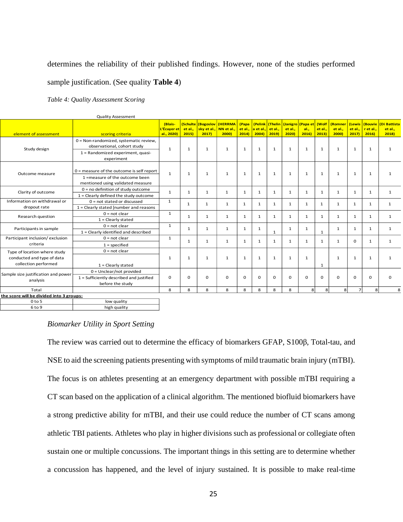#### determines the reliability of their published findings. However, none of the studies performed

#### sample justification. (See quality **Table 4**)

<span id="page-33-1"></span>*Table 4: Quality Assessment Scoring* 

|                                                 | Quanty Assessment                           |                                      |                              |                                             |                  |                          |                              |                           |                 |                                   |                           |                                    |                 |                                       |                                 |
|-------------------------------------------------|---------------------------------------------|--------------------------------------|------------------------------|---------------------------------------------|------------------|--------------------------|------------------------------|---------------------------|-----------------|-----------------------------------|---------------------------|------------------------------------|-----------------|---------------------------------------|---------------------------------|
| element of assessment                           | scoring criteria                            | (Blais-<br>L'Écuver et<br>al., 2020) | (Schulte)<br>et al.,<br>2015 | (Bogoslov<br>sky et al., NN et al.,<br>2017 | (HERRMA<br>2000) | (Papa<br>et al.,<br>2014 | (Pelink<br>a et al.<br>2004) | Thelin<br>et al.,<br>2019 | et al.,<br>2020 | (Janigro (Papa et<br>al.,<br>2016 | (Wolf<br>et al.,<br>2013) | <b>(Romner</b><br>et al.,<br>2000) | et al.,<br>2017 | (Lewis   (Bouvie<br>r et al.,<br>2016 | (Di Battista<br>et al.,<br>2018 |
|                                                 | 0 = Non-randomized, systematic review,      |                                      |                              |                                             |                  |                          |                              |                           |                 |                                   |                           |                                    |                 |                                       |                                 |
|                                                 | observational, cohort study                 |                                      |                              |                                             |                  |                          |                              |                           |                 |                                   |                           |                                    |                 |                                       |                                 |
| Study design                                    | 1 = Randomized experiment, quasi-           | $\mathbf{1}$                         | $\mathbf{1}$                 | $\mathbf{1}$                                | 1                | $\mathbf{1}$             | 1                            | $\mathbf{1}$              | 1               | $\mathbf{1}$                      | $\mathbf{1}$              | $\mathbf{1}$                       | 1               | $\mathbf{1}$                          | $\mathbf{1}$                    |
|                                                 | experiment                                  |                                      |                              |                                             |                  |                          |                              |                           |                 |                                   |                           |                                    |                 |                                       |                                 |
|                                                 |                                             |                                      | 1                            | $\mathbf{1}$                                | $\mathbf{1}$     | $\mathbf{1}$             | $\mathbf{1}$                 | $\mathbf{1}$              | 1               |                                   |                           |                                    |                 |                                       | $\mathbf{1}$                    |
| Outcome measure                                 | $0$ = measure of the outcome is self report | $\mathbf{1}$                         |                              |                                             |                  |                          |                              |                           |                 | $\mathbf{1}$                      | $\mathbf{1}$              | 1                                  | $\mathbf{1}$    | $\mathbf{1}$                          |                                 |
|                                                 | 1 =measure of the outcome been              |                                      |                              |                                             |                  |                          |                              |                           |                 |                                   |                           |                                    |                 |                                       |                                 |
|                                                 | mentioned using validated measure           |                                      |                              |                                             |                  |                          |                              |                           |                 |                                   |                           |                                    |                 |                                       |                                 |
| Clarity of outcome                              | $0 = no$ definition of study outcome        | $\mathbf{1}$                         | 1                            | $\mathbf{1}$                                | $\mathbf{1}$     | 1                        | 1                            | 1                         | $\mathbf{1}$    | 1                                 | $\mathbf{1}$              | $\mathbf{1}$                       | 1               | $\mathbf{1}$                          | $\mathbf{1}$                    |
|                                                 | $1 =$ Clearly defined the study outcome     |                                      |                              |                                             |                  |                          |                              |                           |                 |                                   |                           |                                    |                 |                                       |                                 |
| Information on withdrawal or                    | $0 = not stated or discussed$               | $\mathbf{1}$                         | $\mathbf{1}$                 | $\mathbf{1}$                                | $\mathbf{1}$     | $\mathbf{1}$             | $\mathbf{1}$                 | $\mathbf{1}$              | $\mathbf{1}$    | 1                                 | 1                         | $\mathbf{1}$                       | $\mathbf{1}$    | $\mathbf{1}$                          | $\mathbf{1}$                    |
| dropout rate                                    | 1 = Clearly stated [number and reasons      |                                      |                              |                                             |                  |                          |                              |                           |                 |                                   |                           |                                    |                 |                                       |                                 |
| Research question                               | $0 = not clear$                             | $\mathbf{1}$                         | 1                            | $\mathbf{1}$                                | 1                | $\mathbf{1}$             | $\mathbf{1}$                 | $\mathbf{1}$              | $\mathbf{1}$    | 1                                 | $\mathbf{1}$              | $\mathbf{1}$                       | 1               | $\mathbf{1}$                          | 1                               |
|                                                 | $1 = Clearly stated$                        |                                      |                              |                                             |                  |                          |                              |                           |                 |                                   |                           |                                    |                 |                                       |                                 |
| Participants in sample                          | $0 = not clear$                             | $\mathbf{1}$                         | 1                            | $\mathbf{1}$                                | $\mathbf{1}$     | $\mathbf{1}$             | $\mathbf{1}$                 | 1                         | $\mathbf{1}$    | 1                                 |                           | $\mathbf{1}$                       | 1               | $\mathbf{1}$                          | $\mathbf{1}$                    |
|                                                 | 1 = Clearly identified and described        |                                      |                              |                                             |                  |                          |                              |                           |                 |                                   | 1                         |                                    |                 |                                       |                                 |
| Participant inclusion/exclusion                 | $0 = not clear$                             | $\mathbf{1}$                         | 1                            | 1                                           | $\mathbf{1}$     | $\mathbf{1}$             | 1                            | 1                         | $\mathbf{1}$    | $\mathbf{1}$                      | $\mathbf{1}$              | $\mathbf{1}$                       | 0               | $\mathbf{1}$                          | $\mathbf{1}$                    |
| criteria                                        | $1 = specified$                             |                                      |                              |                                             |                  |                          |                              |                           |                 |                                   |                           |                                    |                 |                                       |                                 |
| Type of location where study                    | $0 = not clear$                             |                                      |                              | $\mathbf{1}$                                | $\mathbf{1}$     | $\mathbf{1}$             |                              |                           | $\mathbf{1}$    | $\mathbf{1}$                      |                           |                                    |                 |                                       | $\mathbf{1}$                    |
| conducted and type of data                      |                                             | 1                                    | 1                            |                                             |                  |                          | 1                            | 1                         |                 |                                   |                           | 1                                  | 1               | $\mathbf{1}$                          |                                 |
| collection performed                            | $1 = Clearly stated$                        |                                      |                              |                                             |                  |                          |                              |                           |                 |                                   | 1                         |                                    |                 |                                       |                                 |
|                                                 | $0 =$ Unclear/not provided                  |                                      |                              |                                             |                  |                          |                              |                           |                 |                                   |                           |                                    |                 |                                       | $\Omega$                        |
| Sample size justification and power<br>analysis | 1 = Sufficiently described and justified    | $\mathbf 0$                          | 0                            | $\Omega$                                    | $\Omega$         | $\Omega$                 | $\Omega$                     | $\Omega$                  | $\Omega$        | $\Omega$                          | $\Omega$                  | $\Omega$                           | 0               | $\Omega$                              |                                 |
|                                                 | before the study                            |                                      |                              |                                             |                  |                          |                              |                           |                 |                                   |                           |                                    |                 |                                       |                                 |
| Total                                           | 8                                           | 8                                    | 8                            | 8                                           | 8                | 8                        | 8                            | 8                         | 8               | 8                                 | 8                         | $\overline{\phantom{a}}$           | 8               | 8                                     |                                 |
| the score will be divided into 3 groups:        |                                             |                                      |                              |                                             |                  |                          |                              |                           |                 |                                   |                           |                                    |                 |                                       |                                 |
| $0$ to $5$                                      | low quality                                 |                                      |                              |                                             |                  |                          |                              |                           |                 |                                   |                           |                                    |                 |                                       |                                 |
| 6 to 9                                          | high quality                                |                                      |                              |                                             |                  |                          |                              |                           |                 |                                   |                           |                                    |                 |                                       |                                 |

Quality Assessment

#### <span id="page-33-0"></span>*Biomarker Utility in Sport Setting*

The review was carried out to determine the efficacy of biomarkers GFAP, S100β, Total-tau, and NSE to aid the screening patients presenting with symptoms of mild traumatic brain injury (mTBI). The focus is on athletes presenting at an emergency department with possible mTBI requiring a CT scan based on the application of a clinical algorithm. The mentioned biofluid biomarkers have a strong predictive ability for mTBI, and their use could reduce the number of CT scans among athletic TBI patients. Athletes who play in higher divisions such as professional or collegiate often sustain one or multiple concussions. The important things in this setting are to determine whether a concussion has happened, and the level of injury sustained. It is possible to make real-time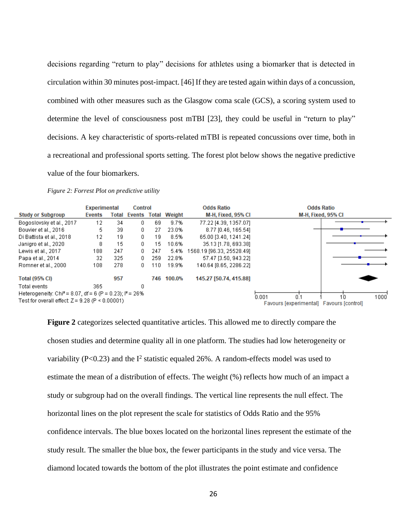decisions regarding "return to play" decisions for athletes using a biomarker that is detected in circulation within 30 minutes post-impact. [46] If they are tested again within days of a concussion, combined with other measures such as the Glasgow coma scale (GCS), a scoring system used to determine the level of consciousness post mTBI [23], they could be useful in "return to play" decisions. A key characteristic of sports-related mTBI is repeated concussions over time, both in a recreational and professional sports setting. The forest plot below shows the negative predictive value of the four biomarkers.

|                                                                       | <b>Experimental</b> | Control |               |     | <b>Odds Ratio</b>   | <b>Odds Ratio</b>         |                                                 |                    |                |
|-----------------------------------------------------------------------|---------------------|---------|---------------|-----|---------------------|---------------------------|-------------------------------------------------|--------------------|----------------|
| <b>Study or Subgroup</b>                                              | <b>Events</b>       | Total   | <b>Events</b> |     | <b>Total Weight</b> | M-H. Fixed, 95% CI        |                                                 | M-H. Fixed, 95% CI |                |
| Bogoslovsky et al., 2017                                              | 12                  | 34      | 0             | 69  | 9.7%                | 77.22 [4.39, 1357.07]     |                                                 |                    |                |
| Bouvier et al., 2016                                                  | 5                   | 39      | 0.            | 27  | 23.0%               | 8.77 [0.46, 165.54]       |                                                 |                    |                |
| Di Battista et al., 2018                                              | 12                  | 19      | 0.            | 19  | 8.5%                | 65.00 [3.40, 1241.24]     |                                                 |                    |                |
| Janigro et al., 2020                                                  | 8                   | 15      | 0.            | 15  | 10.6%               | 35.13 [1.78, 693.38]      |                                                 |                    |                |
| Lewis et al., 2017                                                    | 188                 | 247     | 0.            | 247 | 5.4%                | 1568.19 [96.33, 25528.49] |                                                 |                    |                |
| Papa et al., 2014                                                     | 32                  | 325     | 0.            | 259 | 22.8%               | 57.47 [3.50, 943.22]      |                                                 |                    |                |
| Romner et al., 2000                                                   | 108                 | 278     | 0.            | 110 | 19.9%               | 140.64 [8.65, 2286.22]    |                                                 |                    |                |
| <b>Total (95% CI)</b>                                                 |                     | 957     |               | 746 | 100.0%              | 145.27 [50.74, 415.88]    |                                                 |                    |                |
| Total events                                                          | 365                 |         |               |     |                     |                           |                                                 |                    |                |
| Heterogeneity: Chi <sup>2</sup> = 8.07, df = 6 (P = 0.23); $P = 26\%$ |                     |         |               |     |                     |                           | 0.001                                           | 1n                 |                |
| Test for overall effect: $Z = 9.28$ (P < 0.00001)                     |                     |         |               |     |                     |                           | 0.1<br>Favours [experimental] Favours [control] |                    | $1000^{\circ}$ |

<span id="page-34-0"></span>*Figure 2: Forrest Plot on predictive utility*

**Figure 2** categorizes selected quantitative articles. This allowed me to directly compare the chosen studies and determine quality all in one platform. The studies had low heterogeneity or variability ( $P<0.23$ ) and the  $I<sup>2</sup>$  statistic equaled 26%. A random-effects model was used to estimate the mean of a distribution of effects. The weight (%) reflects how much of an impact a study or subgroup had on the overall findings. The vertical line represents the null effect. The horizontal lines on the plot represent the scale for statistics of Odds Ratio and the 95% confidence intervals. The blue boxes located on the horizontal lines represent the estimate of the study result. The smaller the blue box, the fewer participants in the study and vice versa. The diamond located towards the bottom of the plot illustrates the point estimate and confidence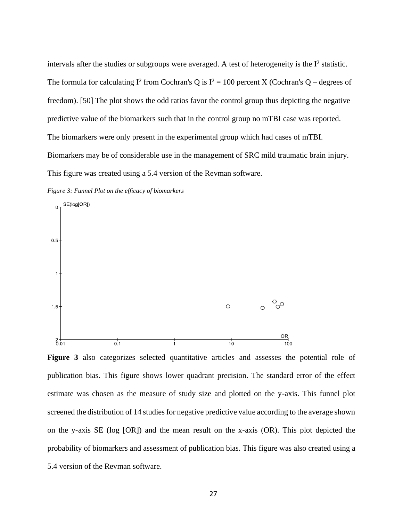intervals after the studies or subgroups were averaged. A test of heterogeneity is the  $I^2$  statistic. The formula for calculating  $I^2$  from Cochran's Q is  $I^2 = 100$  percent X (Cochran's Q – degrees of freedom). [50] The plot shows the odd ratios favor the control group thus depicting the negative predictive value of the biomarkers such that in the control group no mTBI case was reported. The biomarkers were only present in the experimental group which had cases of mTBI. Biomarkers may be of considerable use in the management of SRC mild traumatic brain injury. This figure was created using a 5.4 version of the Revman software.

<span id="page-35-0"></span>*Figure 3: Funnel Plot on the efficacy of biomarkers*



**Figure 3** also categorizes selected quantitative articles and assesses the potential role of publication bias. This figure shows lower quadrant precision. The standard error of the effect estimate was chosen as the measure of study size and plotted on the y-axis. This funnel plot screened the distribution of 14 studies for negative predictive value according to the average shown on the y-axis SE (log [OR]) and the mean result on the x-axis (OR). This plot depicted the probability of biomarkers and assessment of publication bias. This figure was also created using a 5.4 version of the Revman software.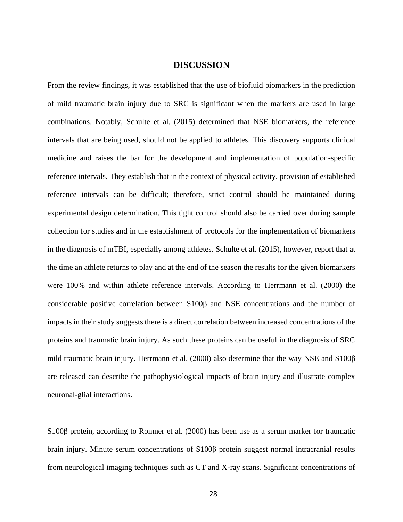## **DISCUSSION**

<span id="page-36-0"></span>From the review findings, it was established that the use of biofluid biomarkers in the prediction of mild traumatic brain injury due to SRC is significant when the markers are used in large combinations. Notably, Schulte et al. (2015) determined that NSE biomarkers, the reference intervals that are being used, should not be applied to athletes. This discovery supports clinical medicine and raises the bar for the development and implementation of population-specific reference intervals. They establish that in the context of physical activity, provision of established reference intervals can be difficult; therefore, strict control should be maintained during experimental design determination. This tight control should also be carried over during sample collection for studies and in the establishment of protocols for the implementation of biomarkers in the diagnosis of mTBI, especially among athletes. Schulte et al. (2015), however, report that at the time an athlete returns to play and at the end of the season the results for the given biomarkers were 100% and within athlete reference intervals. According to Herrmann et al. (2000) the considerable positive correlation between S100β and NSE concentrations and the number of impacts in their study suggests there is a direct correlation between increased concentrations of the proteins and traumatic brain injury. As such these proteins can be useful in the diagnosis of SRC mild traumatic brain injury. Herrmann et al. (2000) also determine that the way NSE and S100β are released can describe the pathophysiological impacts of brain injury and illustrate complex neuronal-glial interactions.

S100β protein, according to Romner et al. (2000) has been use as a serum marker for traumatic brain injury. Minute serum concentrations of S100β protein suggest normal intracranial results from neurological imaging techniques such as CT and X-ray scans. Significant concentrations of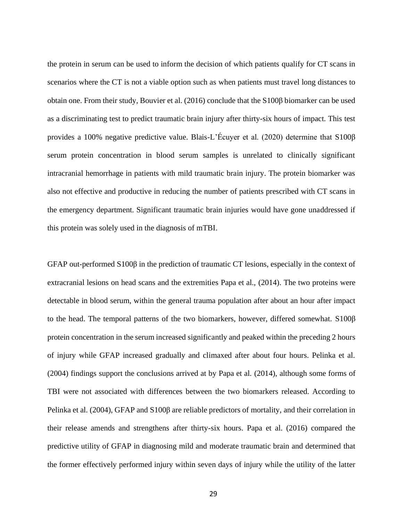the protein in serum can be used to inform the decision of which patients qualify for CT scans in scenarios where the CT is not a viable option such as when patients must travel long distances to obtain one. From their study, Bouvier et al. (2016) conclude that the S100β biomarker can be used as a discriminating test to predict traumatic brain injury after thirty-six hours of impact. This test provides a 100% negative predictive value. Blais-L'Écuyer et al. (2020) determine that S100β serum protein concentration in blood serum samples is unrelated to clinically significant intracranial hemorrhage in patients with mild traumatic brain injury. The protein biomarker was also not effective and productive in reducing the number of patients prescribed with CT scans in the emergency department. Significant traumatic brain injuries would have gone unaddressed if this protein was solely used in the diagnosis of mTBI.

GFAP out-performed S100β in the prediction of traumatic CT lesions, especially in the context of extracranial lesions on head scans and the extremities Papa et al., (2014). The two proteins were detectable in blood serum, within the general trauma population after about an hour after impact to the head. The temporal patterns of the two biomarkers, however, differed somewhat. S100β protein concentration in the serum increased significantly and peaked within the preceding 2 hours of injury while GFAP increased gradually and climaxed after about four hours. Pelinka et al. (2004) findings support the conclusions arrived at by Papa et al. (2014), although some forms of TBI were not associated with differences between the two biomarkers released. According to Pelinka et al. (2004), GFAP and S100β are reliable predictors of mortality, and their correlation in their release amends and strengthens after thirty-six hours. Papa et al. (2016) compared the predictive utility of GFAP in diagnosing mild and moderate traumatic brain and determined that the former effectively performed injury within seven days of injury while the utility of the latter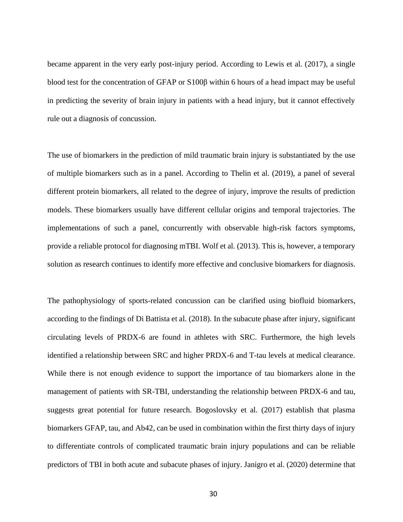became apparent in the very early post-injury period. According to Lewis et al. (2017), a single blood test for the concentration of GFAP or S100β within 6 hours of a head impact may be useful in predicting the severity of brain injury in patients with a head injury, but it cannot effectively rule out a diagnosis of concussion.

The use of biomarkers in the prediction of mild traumatic brain injury is substantiated by the use of multiple biomarkers such as in a panel. According to Thelin et al. (2019), a panel of several different protein biomarkers, all related to the degree of injury, improve the results of prediction models. These biomarkers usually have different cellular origins and temporal trajectories. The implementations of such a panel, concurrently with observable high-risk factors symptoms, provide a reliable protocol for diagnosing mTBI. Wolf et al. (2013). This is, however, a temporary solution as research continues to identify more effective and conclusive biomarkers for diagnosis.

The pathophysiology of sports-related concussion can be clarified using biofluid biomarkers, according to the findings of Di Battista et al. (2018). In the subacute phase after injury, significant circulating levels of PRDX-6 are found in athletes with SRC. Furthermore, the high levels identified a relationship between SRC and higher PRDX-6 and T-tau levels at medical clearance. While there is not enough evidence to support the importance of tau biomarkers alone in the management of patients with SR-TBI, understanding the relationship between PRDX-6 and tau, suggests great potential for future research. Bogoslovsky et al. (2017) establish that plasma biomarkers GFAP, tau, and Ab42, can be used in combination within the first thirty days of injury to differentiate controls of complicated traumatic brain injury populations and can be reliable predictors of TBI in both acute and subacute phases of injury. Janigro et al. (2020) determine that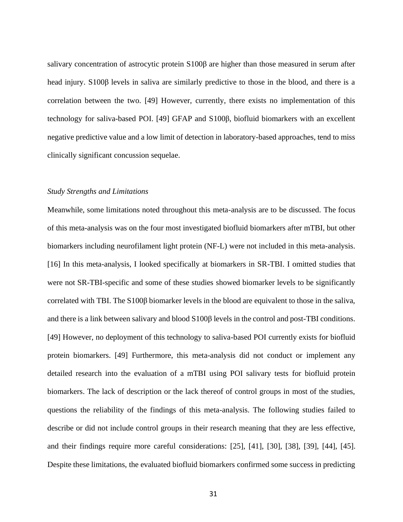salivary concentration of astrocytic protein S100β are higher than those measured in serum after head injury. S100β levels in saliva are similarly predictive to those in the blood, and there is a correlation between the two. [49] However, currently, there exists no implementation of this technology for saliva-based POI. [49] GFAP and S100β, biofluid biomarkers with an excellent negative predictive value and a low limit of detection in laboratory-based approaches, tend to miss clinically significant concussion sequelae.

### <span id="page-39-0"></span>*Study Strengths and Limitations*

Meanwhile, some limitations noted throughout this meta-analysis are to be discussed. The focus of this meta-analysis was on the four most investigated biofluid biomarkers after mTBI, but other biomarkers including neurofilament light protein (NF-L) were not included in this meta-analysis. [16] In this meta-analysis, I looked specifically at biomarkers in SR-TBI. I omitted studies that were not SR-TBI-specific and some of these studies showed biomarker levels to be significantly correlated with TBI. The S100β biomarker levels in the blood are equivalent to those in the saliva, and there is a link between salivary and blood S100β levels in the control and post-TBI conditions. [49] However, no deployment of this technology to saliva-based POI currently exists for biofluid protein biomarkers. [49] Furthermore, this meta-analysis did not conduct or implement any detailed research into the evaluation of a mTBI using POI salivary tests for biofluid protein biomarkers. The lack of description or the lack thereof of control groups in most of the studies, questions the reliability of the findings of this meta-analysis. The following studies failed to describe or did not include control groups in their research meaning that they are less effective, and their findings require more careful considerations: [25], [41], [30], [38], [39], [44], [45]. Despite these limitations, the evaluated biofluid biomarkers confirmed some success in predicting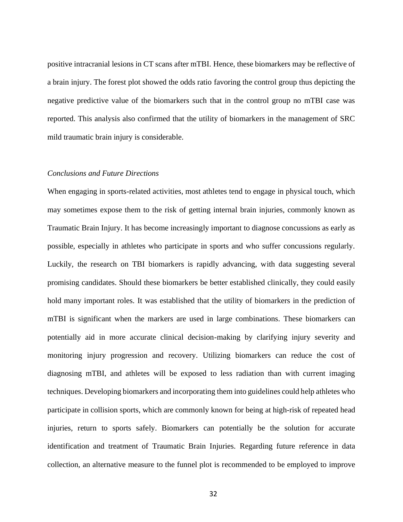positive intracranial lesions in CT scans after mTBI. Hence, these biomarkers may be reflective of a brain injury. The forest plot showed the odds ratio favoring the control group thus depicting the negative predictive value of the biomarkers such that in the control group no mTBI case was reported. This analysis also confirmed that the utility of biomarkers in the management of SRC mild traumatic brain injury is considerable.

### <span id="page-40-0"></span>*Conclusions and Future Directions*

When engaging in sports-related activities, most athletes tend to engage in physical touch, which may sometimes expose them to the risk of getting internal brain injuries, commonly known as Traumatic Brain Injury. It has become increasingly important to diagnose concussions as early as possible, especially in athletes who participate in sports and who suffer concussions regularly. Luckily, the research on TBI biomarkers is rapidly advancing, with data suggesting several promising candidates. Should these biomarkers be better established clinically, they could easily hold many important roles. It was established that the utility of biomarkers in the prediction of mTBI is significant when the markers are used in large combinations. These biomarkers can potentially aid in more accurate clinical decision-making by clarifying injury severity and monitoring injury progression and recovery. Utilizing biomarkers can reduce the cost of diagnosing mTBI, and athletes will be exposed to less radiation than with current imaging techniques. Developing biomarkers and incorporating them into guidelines could help athletes who participate in collision sports, which are commonly known for being at high-risk of repeated head injuries, return to sports safely. Biomarkers can potentially be the solution for accurate identification and treatment of Traumatic Brain Injuries. Regarding future reference in data collection, an alternative measure to the funnel plot is recommended to be employed to improve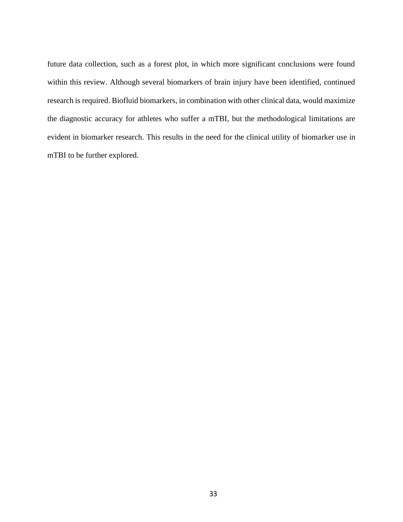future data collection, such as a forest plot, in which more significant conclusions were found within this review. Although several biomarkers of brain injury have been identified, continued research is required. Biofluid biomarkers, in combination with other clinical data, would maximize the diagnostic accuracy for athletes who suffer a mTBI, but the methodological limitations are evident in biomarker research. This results in the need for the clinical utility of biomarker use in mTBI to be further explored.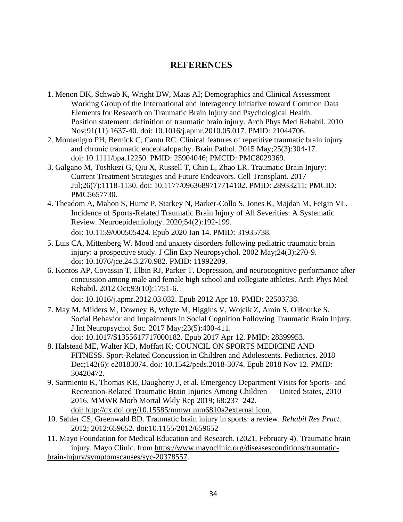# **REFERENCES**

- <span id="page-42-0"></span>1. Menon DK, Schwab K, Wright DW, Maas AI; Demographics and Clinical Assessment Working Group of the International and Interagency Initiative toward Common Data Elements for Research on Traumatic Brain Injury and Psychological Health. Position statement: definition of traumatic brain injury. Arch Phys Med Rehabil. 2010 Nov;91(11):1637-40. doi: 10.1016/j.apmr.2010.05.017. PMID: 21044706.
- 2. Montenigro PH, Bernick C, Cantu RC. Clinical features of repetitive traumatic brain injury and chronic traumatic encephalopathy. Brain Pathol. 2015 May;25(3):304-17. doi: 10.1111/bpa.12250. PMID: 25904046; PMCID: PMC8029369.
- 3. Galgano M, Toshkezi G, Qiu X, Russell T, Chin L, Zhao LR. Traumatic Brain Injury: Current Treatment Strategies and Future Endeavors. Cell Transplant. 2017 Jul;26(7):1118-1130. doi: 10.1177/0963689717714102. PMID: 28933211; PMCID: PMC5657730.
- 4. Theadom A, Mahon S, Hume P, Starkey N, Barker-Collo S, Jones K, Majdan M, Feigin VL. Incidence of Sports-Related Traumatic Brain Injury of All Severities: A Systematic Review. Neuroepidemiology. 2020;54(2):192-199. doi: 10.1159/000505424. Epub 2020 Jan 14. PMID: 31935738.
- 5. Luis CA, Mittenberg W. Mood and anxiety disorders following pediatric traumatic brain injury: a prospective study. J Clin Exp Neuropsychol. 2002 May;24(3):270-9. doi: 10.1076/jce.24.3.270.982. PMID: 11992209.
- 6. Kontos AP, Covassin T, Elbin RJ, Parker T. Depression, and neurocognitive performance after concussion among male and female high school and collegiate athletes. Arch Phys Med Rehabil. 2012 Oct;93(10):1751-6.

doi: 10.1016/j.apmr.2012.03.032. Epub 2012 Apr 10. PMID: 22503738.

- 7. May M, Milders M, Downey B, Whyte M, Higgins V, Wojcik Z, Amin S, O'Rourke S. Social Behavior and Impairments in Social Cognition Following Traumatic Brain Injury. J Int Neuropsychol Soc. 2017 May;23(5):400-411. doi: 10.1017/S1355617717000182. Epub 2017 Apr 12. PMID: 28399953.
- 8. Halstead ME, Walter KD, Moffatt K; COUNCIL ON SPORTS MEDICINE AND FITNESS. Sport-Related Concussion in Children and Adolescents. Pediatrics. 2018 Dec;142(6): e20183074. doi: 10.1542/peds.2018-3074. Epub 2018 Nov 12. PMID: 30420472.
- 9. Sarmiento K, Thomas KE, Daugherty J, et al. Emergency Department Visits for Sports- and Recreation-Related Traumatic Brain Injuries Among Children — United States, 2010– 2016. MMWR Morb Mortal Wkly Rep 2019; 68:237–242. doi: http://dx.doi.org/10.15585/mmwr.mm6810a2external icon.
- 10. Sahler CS, Greenwald BD. Traumatic brain injury in sports: a review. *Rehabil Res Pract*. 2012; 2012:659652. doi:10.1155/2012/659652

11. Mayo Foundation for Medical Education and Research. (2021, February 4). Traumatic brain injury. Mayo Clinic. from [https://www.mayoclinic.org/diseasesconditions/traumatic](https://www.mayoclinic.org/diseasesconditions/traumatic-brain-injury/symptomscauses/syc-20378557)[brain-injury/symptomscauses/syc-20378557.](https://www.mayoclinic.org/diseasesconditions/traumatic-brain-injury/symptomscauses/syc-20378557)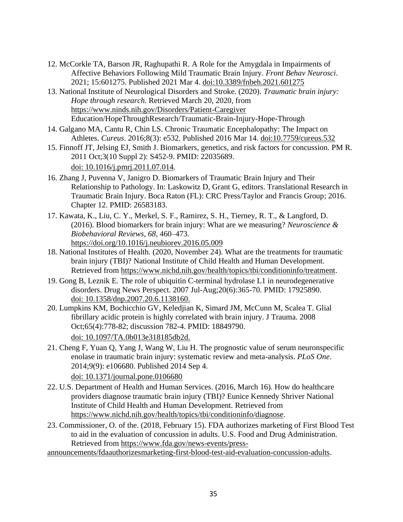- 12. McCorkle TA, Barson JR, Raghupathi R. A Role for the Amygdala in Impairments of Affective Behaviors Following Mild Traumatic Brain Injury. *Front Behav Neurosci*. 2021; 15:601275. Published 2021 Mar 4. doi:10.3389/fnbeh.2021.601275
- 13. National Institute of Neurological Disorders and Stroke. (2020). *Traumatic brain injury: Hope through research.* Retrieved March 20, 2020, from <https://www.ninds.nih.gov/Disorders/Patient-Caregiver> Education/HopeThroughResearch/Traumatic-Brain-Injury-Hope-Through
- 14. Galgano MA, Cantu R, Chin LS. Chronic Traumatic Encephalopathy: The Impact on Athletes. *Cureus*. 2016;8(3): e532. Published 2016 Mar 14. doi:10.7759/cureus.532
- 15. Finnoff JT, Jelsing EJ, Smith J. Biomarkers, genetics, and risk factors for concussion. PM R. 2011 Oct;3(10 Suppl 2): S452-9. PMID: 22035689. doi: 10.1016/j.pmrj.2011.07.014.
- 16. Zhang J, Puvenna V, Janigro D. Biomarkers of Traumatic Brain Injury and Their Relationship to Pathology. In: Laskowitz D, Grant G, editors. Translational Research in Traumatic Brain Injury. Boca Raton (FL): CRC Press/Taylor and Francis Group; 2016. Chapter 12. PMID: 26583183.
- 17. Kawata, K., Liu, C. Y., Merkel, S. F., Ramirez, S. H., Tierney, R. T., & Langford, D. (2016). Blood biomarkers for brain injury: What are we measuring? *Neuroscience & Biobehavioral Reviews*, *68*, 460–473. https://doi.org/10.1016/j.neubiorev.2016.05.009
- 18. National Institutes of Health. (2020, November 24). What are the treatments for traumatic brain injury (TBI)? National Institute of Child Health and Human Development. Retrieved from [https://www.nichd.nih.gov/health/topics/tbi/conditioninfo/treatment.](https://www.nichd.nih.gov/health/topics/tbi/conditioninfo/treatment)
- 19. Gong B, Leznik E. The role of ubiquitin C-terminal hydrolase L1 in neurodegenerative disorders. Drug News Perspect. 2007 Jul-Aug;20(6):365-70. PMID: 17925890. doi: 10.1358/dnp.2007.20.6.1138160.
- 20. Lumpkins KM, Bochicchio GV, Keledjian K, Simard JM, McCunn M, Scalea T. Glial fibrillary acidic protein is highly correlated with brain injury. J Trauma. 2008 Oct;65(4):778-82; discussion 782-4. PMID: 18849790. doi: 10.1097/TA.0b013e318185db2d.
- 21. Cheng F, Yuan Q, Yang J, Wang W, Liu H. The prognostic value of serum neuronspecific enolase in traumatic brain injury: systematic review and meta-analysis. *PLoS One*. 2014;9(9): e106680. Published 2014 Sep 4. doi: 10.1371/journal.pone.0106680
- 22. U.S. Department of Health and Human Services. (2016, March 16). How do healthcare providers diagnose traumatic brain injury (TBI)? Eunice Kennedy Shriver National Institute of Child Health and Human Development. Retrieved from [https://www.nichd.nih.gov/health/topics/tbi/conditioninfo/diagnose.](https://www.nichd.nih.gov/health/topics/tbi/conditioninfo/diagnose)
- 23. Commissioner, O. of the. (2018, February 15). FDA authorizes marketing of First Blood Test to aid in the evaluation of concussion in adults. U.S. Food and Drug Administration. Retrieved from [https://www.fda.gov/news-events/press-](https://www.fda.gov/news-events/press-announcements/fdaauthorizesmarketing-first-blood-test-aid-evaluation-concussion-adults)
- [announcements/fdaauthorizesmarketing-first-blood-test-aid-evaluation-concussion-adults.](https://www.fda.gov/news-events/press-announcements/fdaauthorizesmarketing-first-blood-test-aid-evaluation-concussion-adults)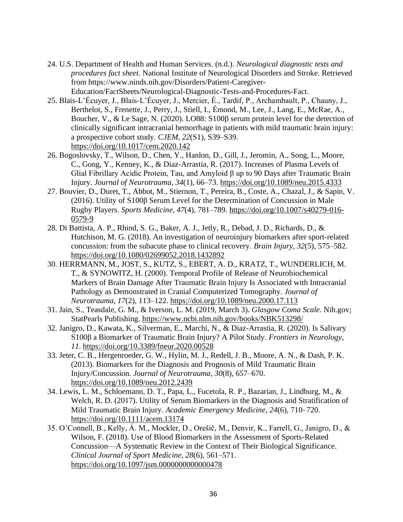- 24. U.S. Department of Health and Human Services. (n.d.). *Neurological diagnostic tests and procedures fact sheet*. National Institute of Neurological Disorders and Stroke. Retrieved from https://www.ninds.nih.gov/Disorders/Patient-Caregiver-Education/FactSheets/Neurological-Diagnostic-Tests-and-Procedures-Fact.
- 25. Blais-L'Écuyer, J., Blais-L'Écuyer, J., Mercier, É., Tardif, P., Archambault, P., Chauny, J., Berthelot, S., Frenette, J., Perry, J., Stiell, I., Émond, M., Lee, J., Lang, E., McRae, A., Boucher, V., & Le Sage, N. (2020). LO88: S100β serum protein level for the detection of clinically significant intracranial hemorrhage in patients with mild traumatic brain injury: a prospective cohort study. *CJEM*, *22*(S1), S39–S39. <https://doi.org/10.1017/cem.2020.142>
- 26. Bogoslovsky, T., Wilson, D., Chen, Y., Hanlon, D., Gill, J., Jeromin, A., Song, L., Moore, C., Gong, Y., Kenney, K., & Diaz-Arrastia, R. (2017). Increases of Plasma Levels of Glial Fibrillary Acidic Protein, Tau, and Amyloid β up to 90 Days after Traumatic Brain Injury. *Journal of Neurotrauma*, *34*(1), 66–73.<https://doi.org/10.1089/neu.2015.4333>
- 27. Bouvier, D., Duret, T., Abbot, M., Stiernon, T., Pereira, B., Coste, A., Chazal, J., & Sapin, V. (2016). Utility of S100β Serum Level for the Determination of Concussion in Male Rugby Players. *Sports Medicine*, *47*(4), 781–789. [https://doi.org/10.1007/s40279-016-](https://doi.org/10.1007/s40279-016-0579-9) [0579-9](https://doi.org/10.1007/s40279-016-0579-9)
- 28. Di Battista, A. P., Rhind, S. G., Baker, A. J., Jetly, R., Debad, J. D., Richards, D., & Hutchison, M. G. (2018). An investigation of neuroinjury biomarkers after sport-related concussion: from the subacute phase to clinical recovery. *Brain Injury*, *32*(5), 575–582. <https://doi.org/10.1080/02699052.2018.1432892>
- 30. HERRMANN, M., JOST, S., KUTZ, S., EBERT, A. D., KRATZ, T., WUNDERLICH, M. T., & SYNOWITZ, H. (2000). Temporal Profile of Release of Neurobiochemical Markers of Brain Damage After Traumatic Brain Injury Is Associated with Intracranial Pathology as Demonstrated in Cranial Computerized Tomography. *Journal of Neurotrauma*, *17*(2), 113–122.<https://doi.org/10.1089/neu.2000.17.113>
- 31. Jain, S., Teasdale, G. M., & Iverson, L. M. (2019, March 3). *Glasgow Coma Scale*. Nih.gov; StatPearls Publishing.<https://www.ncbi.nlm.nih.gov/books/NBK513298/>
- 32. Janigro, D., Kawata, K., Silverman, E., Marchi, N., & Diaz-Arrastia, R. (2020). Is Salivary S100β a Biomarker of Traumatic Brain Injury? A Pilot Study. *Frontiers in Neurology*, *11*.<https://doi.org/10.3389/fneur.2020.00528>
- 33. Jeter, C. B., Hergenroeder, G. W., Hylin, M. J., Redell, J. B., Moore, A. N., & Dash, P. K. (2013). Biomarkers for the Diagnosis and Prognosis of Mild Traumatic Brain Injury/Concussion. *Journal of Neurotrauma*, *30*(8), 657–670. <https://doi.org/10.1089/neu.2012.2439>
- 34. Lewis, L. M., Schloemann, D. T., Papa, L., Fucetola, R. P., Bazarian, J., Lindburg, M., & Welch, R. D. (2017). Utility of Serum Biomarkers in the Diagnosis and Stratification of Mild Traumatic Brain Injury. *Academic Emergency Medicine*, *24*(6), 710–720. <https://doi.org/10.1111/acem.13174>
- 35. O'Connell, B., Kelly, Á. M., Mockler, D., Orešič, M., Denvir, K., Farrell, G., Janigro, D., & Wilson, F. (2018). Use of Blood Biomarkers in the Assessment of Sports-Related Concussion—A Systematic Review in the Context of Their Biological Significance. *Clinical Journal of Sport Medicine*, *28*(6), 561–571. <https://doi.org/10.1097/jsm.0000000000000478>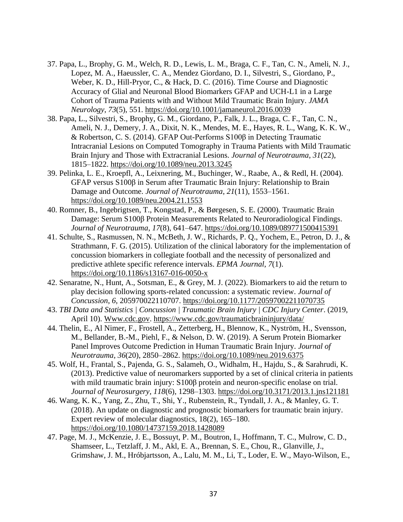- 37. Papa, L., Brophy, G. M., Welch, R. D., Lewis, L. M., Braga, C. F., Tan, C. N., Ameli, N. J., Lopez, M. A., Haeussler, C. A., Mendez Giordano, D. I., Silvestri, S., Giordano, P., Weber, K. D., Hill-Pryor, C., & Hack, D. C. (2016). Time Course and Diagnostic Accuracy of Glial and Neuronal Blood Biomarkers GFAP and UCH-L1 in a Large Cohort of Trauma Patients with and Without Mild Traumatic Brain Injury. *JAMA Neurology*, *73*(5), 551.<https://doi.org/10.1001/jamaneurol.2016.0039>
- 38. Papa, L., Silvestri, S., Brophy, G. M., Giordano, P., Falk, J. L., Braga, C. F., Tan, C. N., Ameli, N. J., Demery, J. A., Dixit, N. K., Mendes, M. E., Hayes, R. L., Wang, K. K. W., & Robertson, C. S. (2014). GFAP Out-Performs S100β in Detecting Traumatic Intracranial Lesions on Computed Tomography in Trauma Patients with Mild Traumatic Brain Injury and Those with Extracranial Lesions. *Journal of Neurotrauma*, *31*(22), 1815–1822.<https://doi.org/10.1089/neu.2013.3245>
- 39. Pelinka, L. E., Kroepfl, A., Leixnering, M., Buchinger, W., Raabe, A., & Redl, H. (2004). GFAP versus S100β in Serum after Traumatic Brain Injury: Relationship to Brain Damage and Outcome. *Journal of Neurotrauma*, *21*(11), 1553–1561. <https://doi.org/10.1089/neu.2004.21.1553>
- 40. Romner, B., Ingebrigtsen, T., Kongstad, P., & Børgesen, S. E. (2000). Traumatic Brain Damage: Serum S100β Protein Measurements Related to Neuroradiological Findings. *Journal of Neurotrauma*, *17*(8), 641–647.<https://doi.org/10.1089/089771500415391>
- 41. Schulte, S., Rasmussen, N. N., McBeth, J. W., Richards, P. Q., Yochem, E., Petron, D. J., & Strathmann, F. G. (2015). Utilization of the clinical laboratory for the implementation of concussion biomarkers in collegiate football and the necessity of personalized and predictive athlete specific reference intervals. *EPMA Journal*, *7*(1). <https://doi.org/10.1186/s13167-016-0050-x>
- 42. Senaratne, N., Hunt, A., Sotsman, E., & Grey, M. J. (2022). Biomarkers to aid the return to play decision following sports-related concussion: a systematic review. *Journal of Concussion*, *6*, 205970022110707.<https://doi.org/10.1177/20597002211070735>
- 43. *TBI Data and Statistics | Concussion | Traumatic Brain Injury | CDC Injury Center*. (2019, April 10). Www.cdc.gov.<https://www.cdc.gov/traumaticbraininjury/data/>
- 44. Thelin, E., Al Nimer, F., Frostell, A., Zetterberg, H., Blennow, K., Nyström, H., Svensson, M., Bellander, B.-M., Piehl, F., & Nelson, D. W. (2019). A Serum Protein Biomarker Panel Improves Outcome Prediction in Human Traumatic Brain Injury. *Journal of Neurotrauma*, *36*(20), 2850–2862.<https://doi.org/10.1089/neu.2019.6375>
- 45. Wolf, H., Frantal, S., Pajenda, G. S., Salameh, O., Widhalm, H., Hajdu, S., & Sarahrudi, K. (2013). Predictive value of neuromarkers supported by a set of clinical criteria in patients with mild traumatic brain injury: S100β protein and neuron-specific enolase on trial. *Journal of Neurosurgery*, *118*(6), 1298–1303.<https://doi.org/10.3171/2013.1.jns121181>
- 46. Wang, K. K., Yang, Z., Zhu, T., Shi, Y., Rubenstein, R., Tyndall, J. A., & Manley, G. T. (2018). An update on diagnostic and prognostic biomarkers for traumatic brain injury. Expert review of molecular diagnostics, 18(2), 165–180. <https://doi.org/10.1080/14737159.2018.1428089>
- 47. Page, M. J., McKenzie, J. E., Bossuyt, P. M., Boutron, I., Hoffmann, T. C., Mulrow, C. D., Shamseer, L., Tetzlaff, J. M., Akl, E. A., Brennan, S. E., Chou, R., Glanville, J., Grimshaw, J. M., Hróbjartsson, A., Lalu, M. M., Li, T., Loder, E. W., Mayo-Wilson, E.,